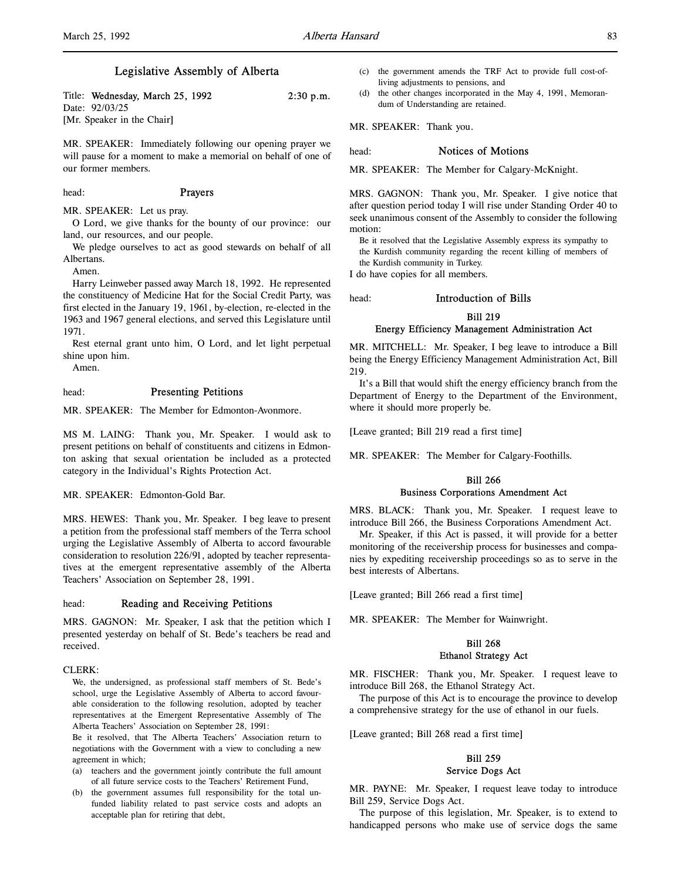# Legislative Assembly of Alberta

Title: Wednesday, March 25, 1992 2:30 p.m. Date: 92/03/25 [Mr. Speaker in the Chair]

MR. SPEAKER: Immediately following our opening prayer we will pause for a moment to make a memorial on behalf of one of our former members.

head: **Prayers** 

MR. SPEAKER: Let us pray.

O Lord, we give thanks for the bounty of our province: our land, our resources, and our people.

We pledge ourselves to act as good stewards on behalf of all Albertans.

Amen.

Harry Leinweber passed away March 18, 1992. He represented the constituency of Medicine Hat for the Social Credit Party, was first elected in the January 19, 1961, by-election, re-elected in the 1963 and 1967 general elections, and served this Legislature until 1971.

Rest eternal grant unto him, O Lord, and let light perpetual shine upon him.

Amen.

head: Presenting Petitions

MR. SPEAKER: The Member for Edmonton-Avonmore.

MS M. LAING: Thank you, Mr. Speaker. I would ask to present petitions on behalf of constituents and citizens in Edmonton asking that sexual orientation be included as a protected category in the Individual's Rights Protection Act.

MR. SPEAKER: Edmonton-Gold Bar.

MRS. HEWES: Thank you, Mr. Speaker. I beg leave to present a petition from the professional staff members of the Terra school urging the Legislative Assembly of Alberta to accord favourable consideration to resolution 226/91, adopted by teacher representatives at the emergent representative assembly of the Alberta Teachers' Association on September 28, 1991.

head: **Reading and Receiving Petitions** 

MRS. GAGNON: Mr. Speaker, I ask that the petition which I presented yesterday on behalf of St. Bede's teachers be read and received.

#### $CLERK$

We, the undersigned, as professional staff members of St. Bede's school, urge the Legislative Assembly of Alberta to accord favourable consideration to the following resolution, adopted by teacher representatives at the Emergent Representative Assembly of The Alberta Teachers' Association on September 28, 1991:

Be it resolved, that The Alberta Teachers' Association return to negotiations with the Government with a view to concluding a new agreement in which;

- (a) teachers and the government jointly contribute the full amount of all future service costs to the Teachers' Retirement Fund,
- (b) the government assumes full responsibility for the total unfunded liability related to past service costs and adopts an acceptable plan for retiring that debt,
- (c) the government amends the TRF Act to provide full cost-ofliving adjustments to pensions, and
- (d) the other changes incorporated in the May 4, 1991, Memorandum of Understanding are retained.

MR. SPEAKER: Thank you.

## head: **Notices of Motions**

MR. SPEAKER: The Member for Calgary-McKnight.

MRS. GAGNON: Thank you, Mr. Speaker. I give notice that after question period today I will rise under Standing Order 40 to seek unanimous consent of the Assembly to consider the following motion:

Be it resolved that the Legislative Assembly express its sympathy to the Kurdish community regarding the recent killing of members of

the Kurdish community in Turkey.

I do have copies for all members.

head: Introduction of Bills

# Bill 219 Energy Efficiency Management Administration Act

MR. MITCHELL: Mr. Speaker, I beg leave to introduce a Bill being the Energy Efficiency Management Administration Act, Bill 219.

It's a Bill that would shift the energy efficiency branch from the Department of Energy to the Department of the Environment, where it should more properly be.

[Leave granted; Bill 219 read a first time]

MR. SPEAKER: The Member for Calgary-Foothills.

# Bill 266 Business Corporations Amendment Act

MRS. BLACK: Thank you, Mr. Speaker. I request leave to introduce Bill 266, the Business Corporations Amendment Act.

Mr. Speaker, if this Act is passed, it will provide for a better monitoring of the receivership process for businesses and companies by expediting receivership proceedings so as to serve in the best interests of Albertans.

[Leave granted; Bill 266 read a first time]

MR. SPEAKER: The Member for Wainwright.

# Bill 268 Ethanol Strategy Act

MR. FISCHER: Thank you, Mr. Speaker. I request leave to introduce Bill 268, the Ethanol Strategy Act.

The purpose of this Act is to encourage the province to develop a comprehensive strategy for the use of ethanol in our fuels.

[Leave granted; Bill 268 read a first time]

# Bill 259 Service Dogs Act

MR. PAYNE: Mr. Speaker, I request leave today to introduce Bill 259, Service Dogs Act.

The purpose of this legislation, Mr. Speaker, is to extend to handicapped persons who make use of service dogs the same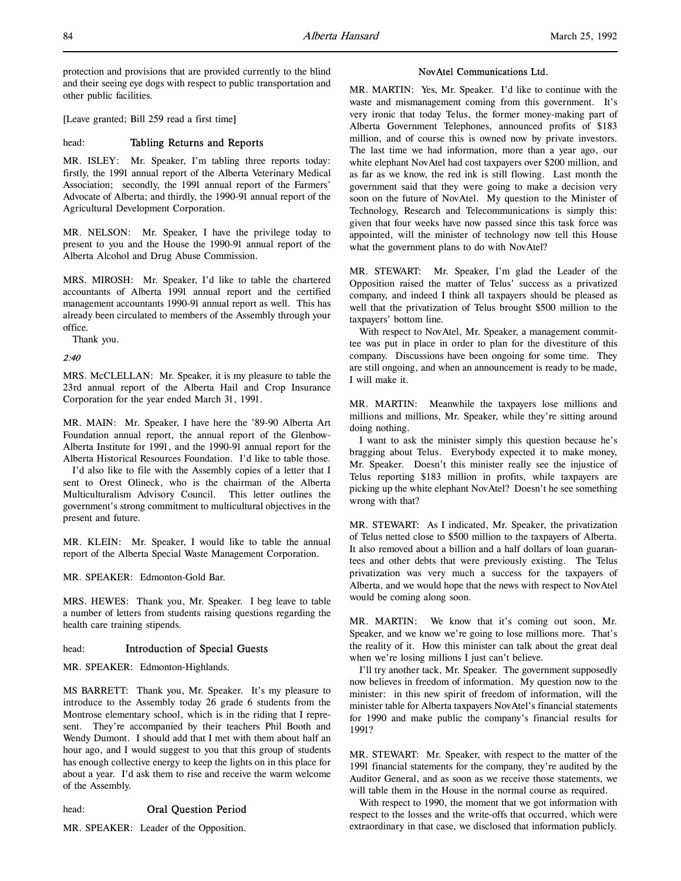protection and provisions that are provided currently to the blind and their seeing eye dogs with respect to public transportation and other public facilities.

[Leave granted; Bill 259 read a first time]

## head: Tabling Returns and Reports

MR. ISLEY: Mr. Speaker, I'm tabling three reports today: firstly, the 1991 annual report of the Alberta Veterinary Medical Association; secondly, the 1991 annual report of the Farmers' Advocate of Alberta; and thirdly, the 1990-91 annual report of the Agricultural Development Corporation.

MR. NELSON: Mr. Speaker, I have the privilege today to present to you and the House the 1990-91 annual report of the Alberta Alcohol and Drug Abuse Commission.

MRS. MIROSH: Mr. Speaker, I'd like to table the chartered accountants of Alberta 1991 annual report and the certified management accountants 1990-91 annual report as well. This has already been circulated to members of the Assembly through your office.

Thank you.

# 2:40

MRS. McCLELLAN: Mr. Speaker, it is my pleasure to table the 23rd annual report of the Alberta Hail and Crop Insurance Corporation for the year ended March 31, 1991.

MR. MAIN: Mr. Speaker, I have here the '89-90 Alberta Art Foundation annual report, the annual report of the Glenbow-Alberta Institute for 1991, and the 1990-91 annual report for the Alberta Historical Resources Foundation. I'd like to table those.

I'd also like to file with the Assembly copies of a letter that I sent to Orest Olineck, who is the chairman of the Alberta Multiculturalism Advisory Council. This letter outlines the government's strong commitment to multicultural objectives in the present and future.

MR. KLEIN: Mr. Speaker, I would like to table the annual report of the Alberta Special Waste Management Corporation.

MR. SPEAKER: Edmonton-Gold Bar.

MRS. HEWES: Thank you, Mr. Speaker. I beg leave to table a number of letters from students raising questions regarding the health care training stipends.

# head: **Introduction of Special Guests**

MR. SPEAKER: Edmonton-Highlands.

MS BARRETT: Thank you, Mr. Speaker. It's my pleasure to introduce to the Assembly today 26 grade 6 students from the Montrose elementary school, which is in the riding that I represent. They're accompanied by their teachers Phil Booth and Wendy Dumont. I should add that I met with them about half an hour ago, and I would suggest to you that this group of students has enough collective energy to keep the lights on in this place for about a year. I'd ask them to rise and receive the warm welcome of the Assembly.

# head: Oral Question Period

MR. SPEAKER: Leader of the Opposition.

## NovAtel Communications Ltd.

MR. MARTIN: Yes, Mr. Speaker. I'd like to continue with the waste and mismanagement coming from this government. It's very ironic that today Telus, the former money-making part of Alberta Government Telephones, announced profits of \$183 million, and of course this is owned now by private investors. The last time we had information, more than a year ago, our white elephant NovAtel had cost taxpayers over \$200 million, and as far as we know, the red ink is still flowing. Last month the government said that they were going to make a decision very soon on the future of NovAtel. My question to the Minister of Technology, Research and Telecommunications is simply this: given that four weeks have now passed since this task force was appointed, will the minister of technology now tell this House what the government plans to do with NovAtel?

MR. STEWART: Mr. Speaker, I'm glad the Leader of the Opposition raised the matter of Telus' success as a privatized company, and indeed I think all taxpayers should be pleased as well that the privatization of Telus brought \$500 million to the taxpayers' bottom line.

With respect to NovAtel, Mr. Speaker, a management committee was put in place in order to plan for the divestiture of this company. Discussions have been ongoing for some time. They are still ongoing, and when an announcement is ready to be made, I will make it.

MR. MARTIN: Meanwhile the taxpayers lose millions and millions and millions, Mr. Speaker, while they're sitting around doing nothing.

I want to ask the minister simply this question because he's bragging about Telus. Everybody expected it to make money, Mr. Speaker. Doesn't this minister really see the injustice of Telus reporting \$183 million in profits, while taxpayers are picking up the white elephant NovAtel? Doesn't he see something wrong with that?

MR. STEWART: As I indicated, Mr. Speaker, the privatization of Telus netted close to \$500 million to the taxpayers of Alberta. It also removed about a billion and a half dollars of loan guarantees and other debts that were previously existing. The Telus privatization was very much a success for the taxpayers of Alberta, and we would hope that the news with respect to NovAtel would be coming along soon.

MR. MARTIN: We know that it's coming out soon, Mr. Speaker, and we know we're going to lose millions more. That's the reality of it. How this minister can talk about the great deal when we're losing millions I just can't believe.

I'll try another tack, Mr. Speaker. The government supposedly now believes in freedom of information. My question now to the minister: in this new spirit of freedom of information, will the minister table for Alberta taxpayers NovAtel's financial statements for 1990 and make public the company's financial results for 1991?

MR. STEWART: Mr. Speaker, with respect to the matter of the 1991 financial statements for the company, they're audited by the Auditor General, and as soon as we receive those statements, we will table them in the House in the normal course as required.

With respect to 1990, the moment that we got information with respect to the losses and the write-offs that occurred, which were extraordinary in that case, we disclosed that information publicly.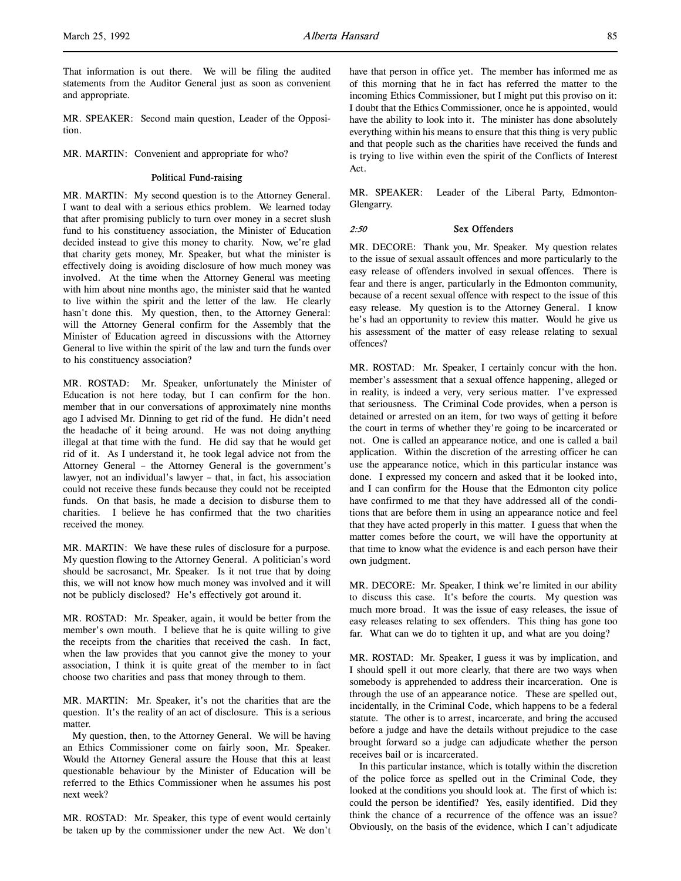That information is out there. We will be filing the audited statements from the Auditor General just as soon as convenient and appropriate.

MR. SPEAKER: Second main question, Leader of the Opposition.

MR. MARTIN: Convenient and appropriate for who?

## Political Fund-raising

MR. MARTIN: My second question is to the Attorney General. I want to deal with a serious ethics problem. We learned today that after promising publicly to turn over money in a secret slush fund to his constituency association, the Minister of Education decided instead to give this money to charity. Now, we're glad that charity gets money, Mr. Speaker, but what the minister is effectively doing is avoiding disclosure of how much money was involved. At the time when the Attorney General was meeting with him about nine months ago, the minister said that he wanted to live within the spirit and the letter of the law. He clearly hasn't done this. My question, then, to the Attorney General: will the Attorney General confirm for the Assembly that the Minister of Education agreed in discussions with the Attorney General to live within the spirit of the law and turn the funds over to his constituency association?

MR. ROSTAD: Mr. Speaker, unfortunately the Minister of Education is not here today, but I can confirm for the hon. member that in our conversations of approximately nine months ago I advised Mr. Dinning to get rid of the fund. He didn't need the headache of it being around. He was not doing anything illegal at that time with the fund. He did say that he would get rid of it. As I understand it, he took legal advice not from the Attorney General – the Attorney General is the government's lawyer, not an individual's lawyer – that, in fact, his association could not receive these funds because they could not be receipted funds. On that basis, he made a decision to disburse them to charities. I believe he has confirmed that the two charities received the money.

MR. MARTIN: We have these rules of disclosure for a purpose. My question flowing to the Attorney General. A politician's word should be sacrosanct, Mr. Speaker. Is it not true that by doing this, we will not know how much money was involved and it will not be publicly disclosed? He's effectively got around it.

MR. ROSTAD: Mr. Speaker, again, it would be better from the member's own mouth. I believe that he is quite willing to give the receipts from the charities that received the cash. In fact, when the law provides that you cannot give the money to your association, I think it is quite great of the member to in fact choose two charities and pass that money through to them.

MR. MARTIN: Mr. Speaker, it's not the charities that are the question. It's the reality of an act of disclosure. This is a serious matter.

My question, then, to the Attorney General. We will be having an Ethics Commissioner come on fairly soon, Mr. Speaker. Would the Attorney General assure the House that this at least questionable behaviour by the Minister of Education will be referred to the Ethics Commissioner when he assumes his post next week?

MR. ROSTAD: Mr. Speaker, this type of event would certainly be taken up by the commissioner under the new Act. We don't have that person in office yet. The member has informed me as of this morning that he in fact has referred the matter to the incoming Ethics Commissioner, but I might put this proviso on it: I doubt that the Ethics Commissioner, once he is appointed, would have the ability to look into it. The minister has done absolutely everything within his means to ensure that this thing is very public and that people such as the charities have received the funds and is trying to live within even the spirit of the Conflicts of Interest Act.

MR. SPEAKER: Leader of the Liberal Party, Edmonton-Glengarry.

## 2:50 Sex Offenders

MR. DECORE: Thank you, Mr. Speaker. My question relates to the issue of sexual assault offences and more particularly to the easy release of offenders involved in sexual offences. There is fear and there is anger, particularly in the Edmonton community, because of a recent sexual offence with respect to the issue of this easy release. My question is to the Attorney General. I know he's had an opportunity to review this matter. Would he give us his assessment of the matter of easy release relating to sexual offences?

MR. ROSTAD: Mr. Speaker, I certainly concur with the hon. member's assessment that a sexual offence happening, alleged or in reality, is indeed a very, very serious matter. I've expressed that seriousness. The Criminal Code provides, when a person is detained or arrested on an item, for two ways of getting it before the court in terms of whether they're going to be incarcerated or not. One is called an appearance notice, and one is called a bail application. Within the discretion of the arresting officer he can use the appearance notice, which in this particular instance was done. I expressed my concern and asked that it be looked into, and I can confirm for the House that the Edmonton city police have confirmed to me that they have addressed all of the conditions that are before them in using an appearance notice and feel that they have acted properly in this matter. I guess that when the matter comes before the court, we will have the opportunity at that time to know what the evidence is and each person have their own judgment.

MR. DECORE: Mr. Speaker, I think we're limited in our ability to discuss this case. It's before the courts. My question was much more broad. It was the issue of easy releases, the issue of easy releases relating to sex offenders. This thing has gone too far. What can we do to tighten it up, and what are you doing?

MR. ROSTAD: Mr. Speaker, I guess it was by implication, and I should spell it out more clearly, that there are two ways when somebody is apprehended to address their incarceration. One is through the use of an appearance notice. These are spelled out, incidentally, in the Criminal Code, which happens to be a federal statute. The other is to arrest, incarcerate, and bring the accused before a judge and have the details without prejudice to the case brought forward so a judge can adjudicate whether the person receives bail or is incarcerated.

In this particular instance, which is totally within the discretion of the police force as spelled out in the Criminal Code, they looked at the conditions you should look at. The first of which is: could the person be identified? Yes, easily identified. Did they think the chance of a recurrence of the offence was an issue? Obviously, on the basis of the evidence, which I can't adjudicate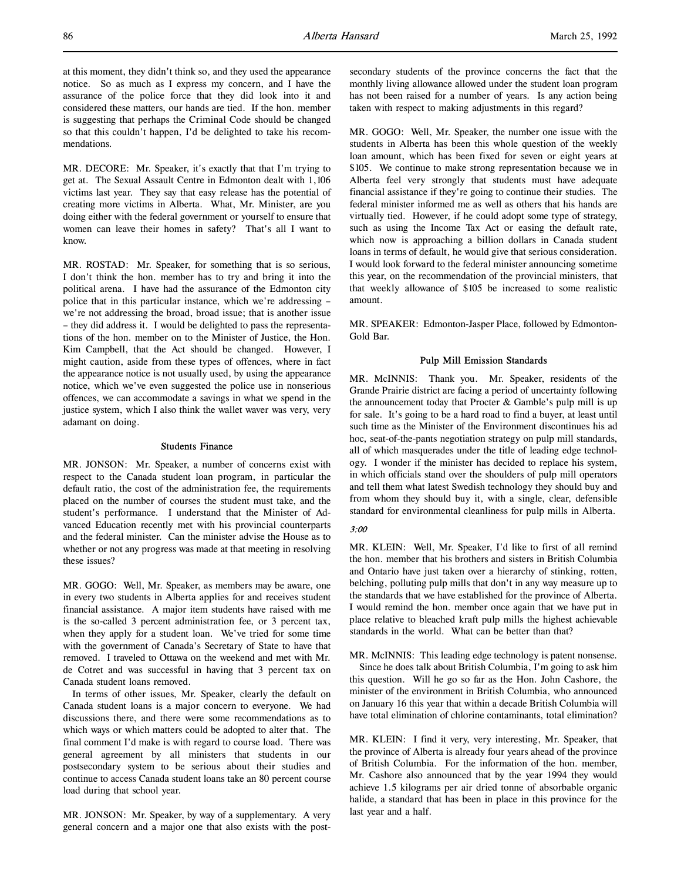at this moment, they didn't think so, and they used the appearance notice. So as much as I express my concern, and I have the assurance of the police force that they did look into it and considered these matters, our hands are tied. If the hon. member is suggesting that perhaps the Criminal Code should be changed so that this couldn't happen, I'd be delighted to take his recommendations.

MR. DECORE: Mr. Speaker, it's exactly that that I'm trying to get at. The Sexual Assault Centre in Edmonton dealt with 1,106 victims last year. They say that easy release has the potential of creating more victims in Alberta. What, Mr. Minister, are you doing either with the federal government or yourself to ensure that women can leave their homes in safety? That's all I want to know.

MR. ROSTAD: Mr. Speaker, for something that is so serious, I don't think the hon. member has to try and bring it into the political arena. I have had the assurance of the Edmonton city police that in this particular instance, which we're addressing – we're not addressing the broad, broad issue; that is another issue – they did address it. I would be delighted to pass the representations of the hon. member on to the Minister of Justice, the Hon. Kim Campbell, that the Act should be changed. However, I might caution, aside from these types of offences, where in fact the appearance notice is not usually used, by using the appearance notice, which we've even suggested the police use in nonserious offences, we can accommodate a savings in what we spend in the justice system, which I also think the wallet waver was very, very adamant on doing.

## Students Finance

MR. JONSON: Mr. Speaker, a number of concerns exist with respect to the Canada student loan program, in particular the default ratio, the cost of the administration fee, the requirements placed on the number of courses the student must take, and the student's performance. I understand that the Minister of Advanced Education recently met with his provincial counterparts and the federal minister. Can the minister advise the House as to whether or not any progress was made at that meeting in resolving these issues?

MR. GOGO: Well, Mr. Speaker, as members may be aware, one in every two students in Alberta applies for and receives student financial assistance. A major item students have raised with me is the so-called 3 percent administration fee, or 3 percent tax, when they apply for a student loan. We've tried for some time with the government of Canada's Secretary of State to have that removed. I traveled to Ottawa on the weekend and met with Mr. de Cotret and was successful in having that 3 percent tax on Canada student loans removed.

In terms of other issues, Mr. Speaker, clearly the default on Canada student loans is a major concern to everyone. We had discussions there, and there were some recommendations as to which ways or which matters could be adopted to alter that. The final comment I'd make is with regard to course load. There was general agreement by all ministers that students in our postsecondary system to be serious about their studies and continue to access Canada student loans take an 80 percent course load during that school year.

MR. JONSON: Mr. Speaker, by way of a supplementary. A very general concern and a major one that also exists with the postsecondary students of the province concerns the fact that the monthly living allowance allowed under the student loan program has not been raised for a number of years. Is any action being taken with respect to making adjustments in this regard?

MR. GOGO: Well, Mr. Speaker, the number one issue with the students in Alberta has been this whole question of the weekly loan amount, which has been fixed for seven or eight years at \$105. We continue to make strong representation because we in Alberta feel very strongly that students must have adequate financial assistance if they're going to continue their studies. The federal minister informed me as well as others that his hands are virtually tied. However, if he could adopt some type of strategy, such as using the Income Tax Act or easing the default rate, which now is approaching a billion dollars in Canada student loans in terms of default, he would give that serious consideration. I would look forward to the federal minister announcing sometime this year, on the recommendation of the provincial ministers, that that weekly allowance of \$105 be increased to some realistic amount.

MR. SPEAKER: Edmonton-Jasper Place, followed by Edmonton-Gold Bar.

## Pulp Mill Emission Standards

MR. McINNIS: Thank you. Mr. Speaker, residents of the Grande Prairie district are facing a period of uncertainty following the announcement today that Procter  $\&$  Gamble's pulp mill is up for sale. It's going to be a hard road to find a buyer, at least until such time as the Minister of the Environment discontinues his ad hoc, seat-of-the-pants negotiation strategy on pulp mill standards, all of which masquerades under the title of leading edge technology. I wonder if the minister has decided to replace his system, in which officials stand over the shoulders of pulp mill operators and tell them what latest Swedish technology they should buy and from whom they should buy it, with a single, clear, defensible standard for environmental cleanliness for pulp mills in Alberta.

## 3:00

MR. KLEIN: Well, Mr. Speaker, I'd like to first of all remind the hon. member that his brothers and sisters in British Columbia and Ontario have just taken over a hierarchy of stinking, rotten, belching, polluting pulp mills that don't in any way measure up to the standards that we have established for the province of Alberta. I would remind the hon. member once again that we have put in place relative to bleached kraft pulp mills the highest achievable standards in the world. What can be better than that?

MR. McINNIS: This leading edge technology is patent nonsense.

Since he does talk about British Columbia, I'm going to ask him this question. Will he go so far as the Hon. John Cashore, the minister of the environment in British Columbia, who announced on January 16 this year that within a decade British Columbia will have total elimination of chlorine contaminants, total elimination?

MR. KLEIN: I find it very, very interesting, Mr. Speaker, that the province of Alberta is already four years ahead of the province of British Columbia. For the information of the hon. member, Mr. Cashore also announced that by the year 1994 they would achieve 1.5 kilograms per air dried tonne of absorbable organic halide, a standard that has been in place in this province for the last year and a half.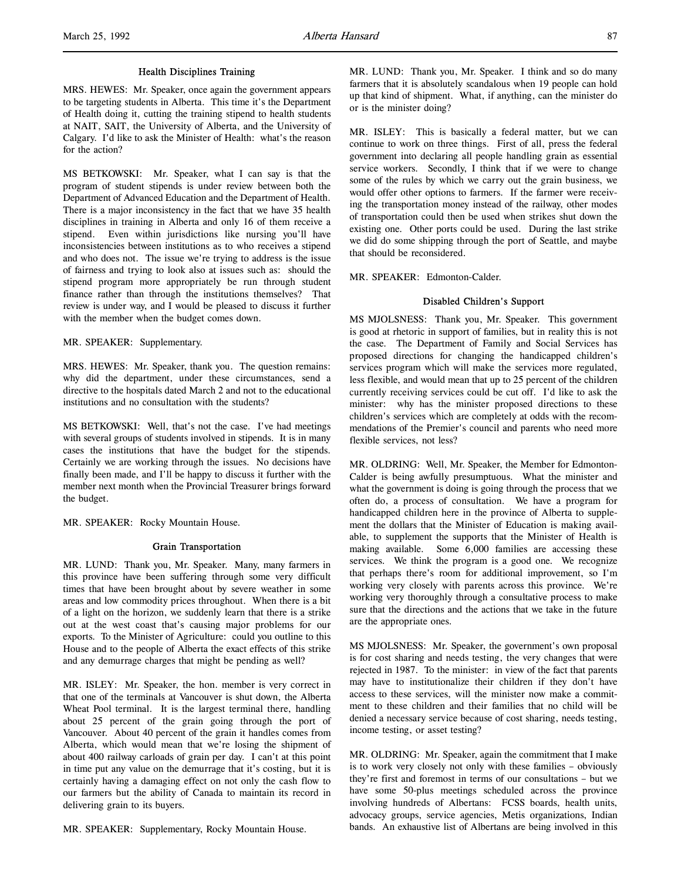## Health Disciplines Training

MRS. HEWES: Mr. Speaker, once again the government appears to be targeting students in Alberta. This time it's the Department of Health doing it, cutting the training stipend to health students at NAIT, SAIT, the University of Alberta, and the University of Calgary. I'd like to ask the Minister of Health: what's the reason for the action?

MS BETKOWSKI: Mr. Speaker, what I can say is that the program of student stipends is under review between both the Department of Advanced Education and the Department of Health. There is a major inconsistency in the fact that we have 35 health disciplines in training in Alberta and only 16 of them receive a stipend. Even within jurisdictions like nursing you'll have inconsistencies between institutions as to who receives a stipend and who does not. The issue we're trying to address is the issue of fairness and trying to look also at issues such as: should the stipend program more appropriately be run through student finance rather than through the institutions themselves? That review is under way, and I would be pleased to discuss it further with the member when the budget comes down.

MR. SPEAKER: Supplementary.

MRS. HEWES: Mr. Speaker, thank you. The question remains: why did the department, under these circumstances, send a directive to the hospitals dated March 2 and not to the educational institutions and no consultation with the students?

MS BETKOWSKI: Well, that's not the case. I've had meetings with several groups of students involved in stipends. It is in many cases the institutions that have the budget for the stipends. Certainly we are working through the issues. No decisions have finally been made, and I'll be happy to discuss it further with the member next month when the Provincial Treasurer brings forward the budget.

MR. SPEAKER: Rocky Mountain House.

## Grain Transportation

MR. LUND: Thank you, Mr. Speaker. Many, many farmers in this province have been suffering through some very difficult times that have been brought about by severe weather in some areas and low commodity prices throughout. When there is a bit of a light on the horizon, we suddenly learn that there is a strike out at the west coast that's causing major problems for our exports. To the Minister of Agriculture: could you outline to this House and to the people of Alberta the exact effects of this strike and any demurrage charges that might be pending as well?

MR. ISLEY: Mr. Speaker, the hon. member is very correct in that one of the terminals at Vancouver is shut down, the Alberta Wheat Pool terminal. It is the largest terminal there, handling about 25 percent of the grain going through the port of Vancouver. About 40 percent of the grain it handles comes from Alberta, which would mean that we're losing the shipment of about 400 railway carloads of grain per day. I can't at this point in time put any value on the demurrage that it's costing, but it is certainly having a damaging effect on not only the cash flow to our farmers but the ability of Canada to maintain its record in delivering grain to its buyers.

MR. SPEAKER: Supplementary, Rocky Mountain House.

MR. LUND: Thank you, Mr. Speaker. I think and so do many farmers that it is absolutely scandalous when 19 people can hold up that kind of shipment. What, if anything, can the minister do or is the minister doing?

MR. ISLEY: This is basically a federal matter, but we can continue to work on three things. First of all, press the federal government into declaring all people handling grain as essential service workers. Secondly, I think that if we were to change some of the rules by which we carry out the grain business, we would offer other options to farmers. If the farmer were receiving the transportation money instead of the railway, other modes of transportation could then be used when strikes shut down the existing one. Other ports could be used. During the last strike we did do some shipping through the port of Seattle, and maybe that should be reconsidered.

MR. SPEAKER: Edmonton-Calder.

# Disabled Children's Support

MS MJOLSNESS: Thank you, Mr. Speaker. This government is good at rhetoric in support of families, but in reality this is not the case. The Department of Family and Social Services has proposed directions for changing the handicapped children's services program which will make the services more regulated, less flexible, and would mean that up to 25 percent of the children currently receiving services could be cut off. I'd like to ask the minister: why has the minister proposed directions to these children's services which are completely at odds with the recommendations of the Premier's council and parents who need more flexible services, not less?

MR. OLDRING: Well, Mr. Speaker, the Member for Edmonton-Calder is being awfully presumptuous. What the minister and what the government is doing is going through the process that we often do, a process of consultation. We have a program for handicapped children here in the province of Alberta to supplement the dollars that the Minister of Education is making available, to supplement the supports that the Minister of Health is making available. Some 6,000 families are accessing these services. We think the program is a good one. We recognize that perhaps there's room for additional improvement, so I'm working very closely with parents across this province. We're working very thoroughly through a consultative process to make sure that the directions and the actions that we take in the future are the appropriate ones.

MS MJOLSNESS: Mr. Speaker, the government's own proposal is for cost sharing and needs testing, the very changes that were rejected in 1987. To the minister: in view of the fact that parents may have to institutionalize their children if they don't have access to these services, will the minister now make a commitment to these children and their families that no child will be denied a necessary service because of cost sharing, needs testing, income testing, or asset testing?

MR. OLDRING: Mr. Speaker, again the commitment that I make is to work very closely not only with these families – obviously they're first and foremost in terms of our consultations – but we have some 50-plus meetings scheduled across the province involving hundreds of Albertans: FCSS boards, health units, advocacy groups, service agencies, Metis organizations, Indian bands. An exhaustive list of Albertans are being involved in this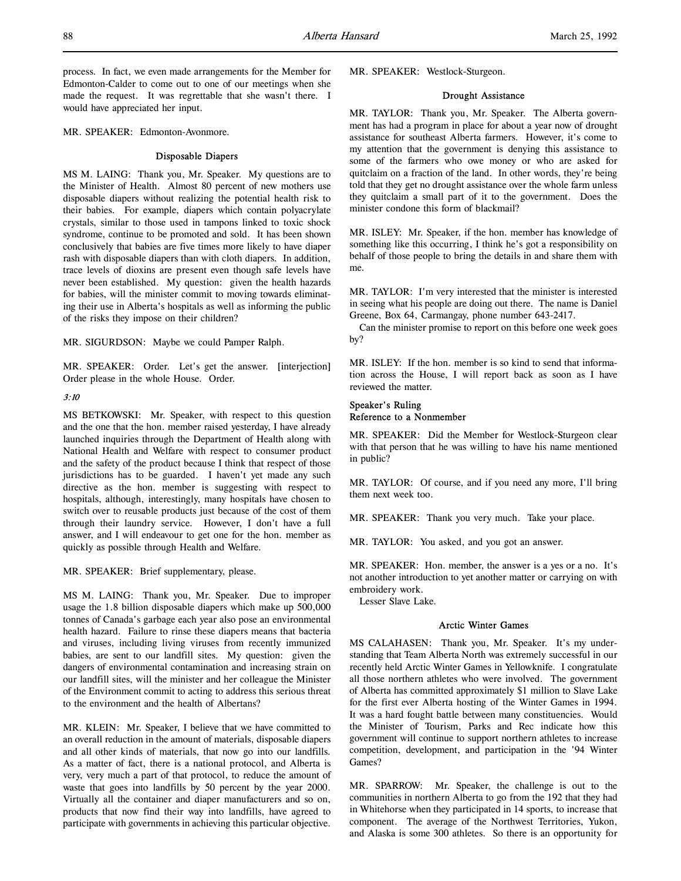process. In fact, we even made arrangements for the Member for Edmonton-Calder to come out to one of our meetings when she made the request. It was regrettable that she wasn't there. I would have appreciated her input.

MR. SPEAKER: Edmonton-Avonmore.

## Disposable Diapers

MS M. LAING: Thank you, Mr. Speaker. My questions are to the Minister of Health. Almost 80 percent of new mothers use disposable diapers without realizing the potential health risk to their babies. For example, diapers which contain polyacrylate crystals, similar to those used in tampons linked to toxic shock syndrome, continue to be promoted and sold. It has been shown conclusively that babies are five times more likely to have diaper rash with disposable diapers than with cloth diapers. In addition, trace levels of dioxins are present even though safe levels have never been established. My question: given the health hazards for babies, will the minister commit to moving towards eliminating their use in Alberta's hospitals as well as informing the public of the risks they impose on their children?

MR. SIGURDSON: Maybe we could Pamper Ralph.

MR. SPEAKER: Order. Let's get the answer. [interjection] Order please in the whole House. Order.

#### 3:10

MS BETKOWSKI: Mr. Speaker, with respect to this question and the one that the hon. member raised yesterday, I have already launched inquiries through the Department of Health along with National Health and Welfare with respect to consumer product and the safety of the product because I think that respect of those jurisdictions has to be guarded. I haven't yet made any such directive as the hon. member is suggesting with respect to hospitals, although, interestingly, many hospitals have chosen to switch over to reusable products just because of the cost of them through their laundry service. However, I don't have a full answer, and I will endeavour to get one for the hon. member as quickly as possible through Health and Welfare.

MR. SPEAKER: Brief supplementary, please.

MS M. LAING: Thank you, Mr. Speaker. Due to improper usage the 1.8 billion disposable diapers which make up 500,000 tonnes of Canada's garbage each year also pose an environmental health hazard. Failure to rinse these diapers means that bacteria and viruses, including living viruses from recently immunized babies, are sent to our landfill sites. My question: given the dangers of environmental contamination and increasing strain on our landfill sites, will the minister and her colleague the Minister of the Environment commit to acting to address this serious threat to the environment and the health of Albertans?

MR. KLEIN: Mr. Speaker, I believe that we have committed to an overall reduction in the amount of materials, disposable diapers and all other kinds of materials, that now go into our landfills. As a matter of fact, there is a national protocol, and Alberta is very, very much a part of that protocol, to reduce the amount of waste that goes into landfills by 50 percent by the year 2000. Virtually all the container and diaper manufacturers and so on, products that now find their way into landfills, have agreed to participate with governments in achieving this particular objective.

MR. SPEAKER: Westlock-Sturgeon.

#### Drought Assistance

MR. TAYLOR: Thank you, Mr. Speaker. The Alberta government has had a program in place for about a year now of drought assistance for southeast Alberta farmers. However, it's come to my attention that the government is denying this assistance to some of the farmers who owe money or who are asked for quitclaim on a fraction of the land. In other words, they're being told that they get no drought assistance over the whole farm unless they quitclaim a small part of it to the government. Does the minister condone this form of blackmail?

MR. ISLEY: Mr. Speaker, if the hon. member has knowledge of something like this occurring, I think he's got a responsibility on behalf of those people to bring the details in and share them with me.

MR. TAYLOR: I'm very interested that the minister is interested in seeing what his people are doing out there. The name is Daniel Greene, Box 64, Carmangay, phone number 643-2417.

Can the minister promise to report on this before one week goes by?

MR. ISLEY: If the hon. member is so kind to send that information across the House, I will report back as soon as I have reviewed the matter.

## Speaker's Ruling Reference to a Nonmember

MR. SPEAKER: Did the Member for Westlock-Sturgeon clear with that person that he was willing to have his name mentioned in public?

MR. TAYLOR: Of course, and if you need any more, I'll bring them next week too.

MR. SPEAKER: Thank you very much. Take your place.

MR. TAYLOR: You asked, and you got an answer.

MR. SPEAKER: Hon. member, the answer is a yes or a no. It's not another introduction to yet another matter or carrying on with embroidery work.

Lesser Slave Lake.

## Arctic Winter Games

MS CALAHASEN: Thank you, Mr. Speaker. It's my understanding that Team Alberta North was extremely successful in our recently held Arctic Winter Games in Yellowknife. I congratulate all those northern athletes who were involved. The government of Alberta has committed approximately \$1 million to Slave Lake for the first ever Alberta hosting of the Winter Games in 1994. It was a hard fought battle between many constituencies. Would the Minister of Tourism, Parks and Rec indicate how this government will continue to support northern athletes to increase competition, development, and participation in the '94 Winter Games?

MR. SPARROW: Mr. Speaker, the challenge is out to the communities in northern Alberta to go from the 192 that they had in Whitehorse when they participated in 14 sports, to increase that component. The average of the Northwest Territories, Yukon, and Alaska is some 300 athletes. So there is an opportunity for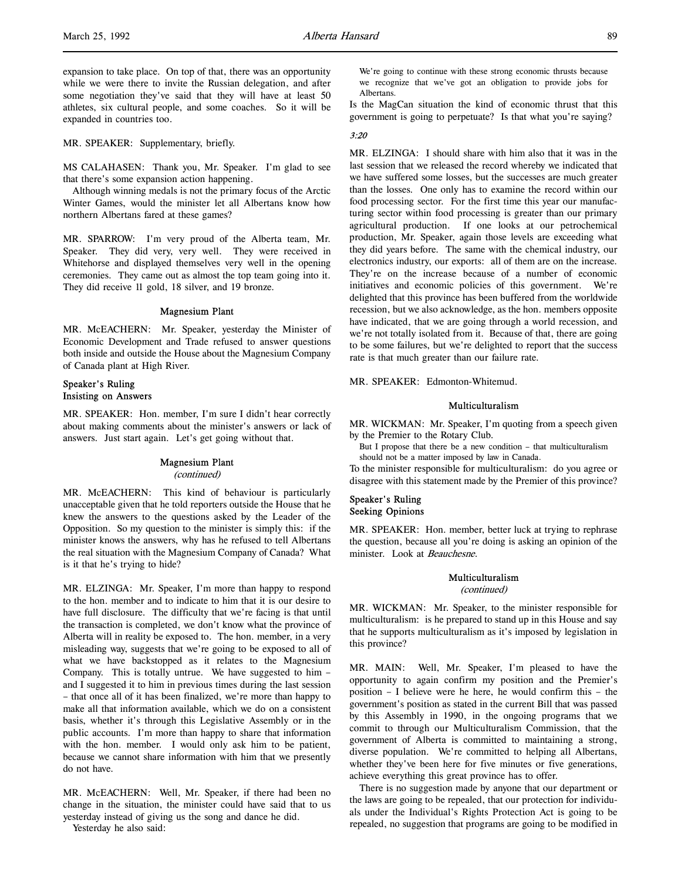expansion to take place. On top of that, there was an opportunity while we were there to invite the Russian delegation, and after some negotiation they've said that they will have at least 50 athletes, six cultural people, and some coaches. So it will be expanded in countries too.

MR. SPEAKER: Supplementary, briefly.

MS CALAHASEN: Thank you, Mr. Speaker. I'm glad to see that there's some expansion action happening.

Although winning medals is not the primary focus of the Arctic Winter Games, would the minister let all Albertans know how northern Albertans fared at these games?

MR. SPARROW: I'm very proud of the Alberta team, Mr. Speaker. They did very, very well. They were received in Whitehorse and displayed themselves very well in the opening ceremonies. They came out as almost the top team going into it. They did receive 11 gold, 18 silver, and 19 bronze.

## Magnesium Plant

MR. McEACHERN: Mr. Speaker, yesterday the Minister of Economic Development and Trade refused to answer questions both inside and outside the House about the Magnesium Company of Canada plant at High River.

## Speaker's Ruling Insisting on Answers

MR. SPEAKER: Hon. member, I'm sure I didn't hear correctly about making comments about the minister's answers or lack of answers. Just start again. Let's get going without that.

#### Magnesium Plant

(continued)

MR. McEACHERN: This kind of behaviour is particularly unacceptable given that he told reporters outside the House that he knew the answers to the questions asked by the Leader of the Opposition. So my question to the minister is simply this: if the minister knows the answers, why has he refused to tell Albertans the real situation with the Magnesium Company of Canada? What is it that he's trying to hide?

MR. ELZINGA: Mr. Speaker, I'm more than happy to respond to the hon. member and to indicate to him that it is our desire to have full disclosure. The difficulty that we're facing is that until the transaction is completed, we don't know what the province of Alberta will in reality be exposed to. The hon. member, in a very misleading way, suggests that we're going to be exposed to all of what we have backstopped as it relates to the Magnesium Company. This is totally untrue. We have suggested to him – and I suggested it to him in previous times during the last session – that once all of it has been finalized, we're more than happy to make all that information available, which we do on a consistent basis, whether it's through this Legislative Assembly or in the public accounts. I'm more than happy to share that information with the hon. member. I would only ask him to be patient, because we cannot share information with him that we presently do not have.

MR. McEACHERN: Well, Mr. Speaker, if there had been no change in the situation, the minister could have said that to us yesterday instead of giving us the song and dance he did.

Yesterday he also said:

We're going to continue with these strong economic thrusts because we recognize that we've got an obligation to provide jobs for Albertans.

Is the MagCan situation the kind of economic thrust that this government is going to perpetuate? Is that what you're saying?

# 3:20

MR. ELZINGA: I should share with him also that it was in the last session that we released the record whereby we indicated that we have suffered some losses, but the successes are much greater than the losses. One only has to examine the record within our food processing sector. For the first time this year our manufacturing sector within food processing is greater than our primary agricultural production. If one looks at our petrochemical production, Mr. Speaker, again those levels are exceeding what they did years before. The same with the chemical industry, our electronics industry, our exports: all of them are on the increase. They're on the increase because of a number of economic initiatives and economic policies of this government. We're delighted that this province has been buffered from the worldwide recession, but we also acknowledge, as the hon. members opposite have indicated, that we are going through a world recession, and we're not totally isolated from it. Because of that, there are going to be some failures, but we're delighted to report that the success rate is that much greater than our failure rate.

MR. SPEAKER: Edmonton-Whitemud.

## Multiculturalism

MR. WICKMAN: Mr. Speaker, I'm quoting from a speech given by the Premier to the Rotary Club.

But I propose that there be a new condition – that multiculturalism should not be a matter imposed by law in Canada.

To the minister responsible for multiculturalism: do you agree or disagree with this statement made by the Premier of this province?

# Speaker's Ruling Seeking Opinions

MR. SPEAKER: Hon. member, better luck at trying to rephrase the question, because all you're doing is asking an opinion of the minister. Look at Beauchesne.

#### Multiculturalism

(continued)

MR. WICKMAN: Mr. Speaker, to the minister responsible for multiculturalism: is he prepared to stand up in this House and say that he supports multiculturalism as it's imposed by legislation in this province?

MR. MAIN: Well, Mr. Speaker, I'm pleased to have the opportunity to again confirm my position and the Premier's position – I believe were he here, he would confirm this – the government's position as stated in the current Bill that was passed by this Assembly in 1990, in the ongoing programs that we commit to through our Multiculturalism Commission, that the government of Alberta is committed to maintaining a strong, diverse population. We're committed to helping all Albertans, whether they've been here for five minutes or five generations, achieve everything this great province has to offer.

There is no suggestion made by anyone that our department or the laws are going to be repealed, that our protection for individuals under the Individual's Rights Protection Act is going to be repealed, no suggestion that programs are going to be modified in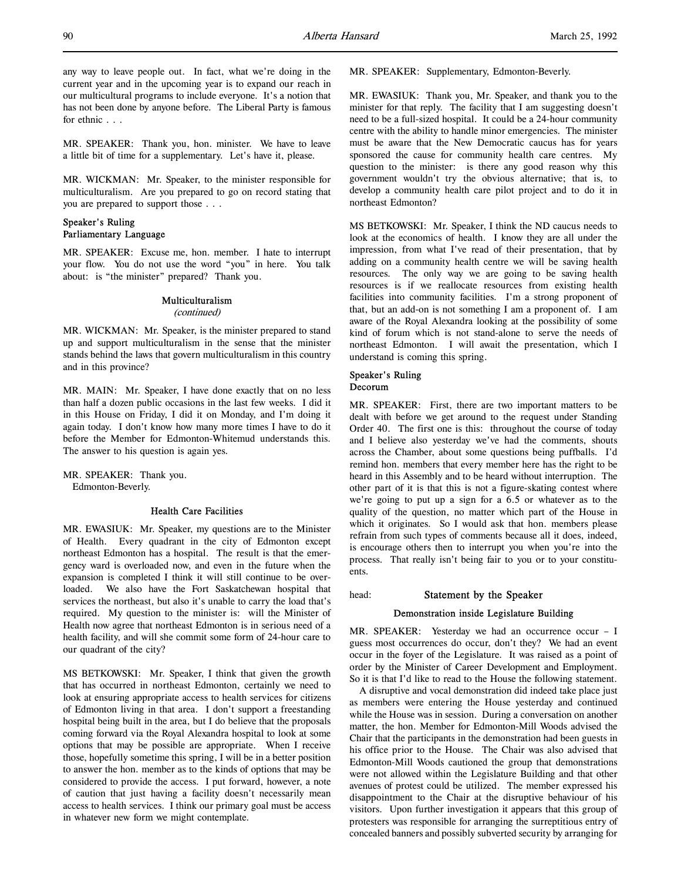MR. SPEAKER: Thank you, hon. minister. We have to leave a little bit of time for a supplementary. Let's have it, please.

MR. WICKMAN: Mr. Speaker, to the minister responsible for multiculturalism. Are you prepared to go on record stating that you are prepared to support those . . .

## Speaker's Ruling Parliamentary Language

MR. SPEAKER: Excuse me, hon. member. I hate to interrupt your flow. You do not use the word "you" in here. You talk about: is "the minister" prepared? Thank you.

# Multiculturalism

# (continued)

MR. WICKMAN: Mr. Speaker, is the minister prepared to stand up and support multiculturalism in the sense that the minister stands behind the laws that govern multiculturalism in this country and in this province?

MR. MAIN: Mr. Speaker, I have done exactly that on no less than half a dozen public occasions in the last few weeks. I did it in this House on Friday, I did it on Monday, and I'm doing it again today. I don't know how many more times I have to do it before the Member for Edmonton-Whitemud understands this. The answer to his question is again yes.

MR. SPEAKER: Thank you. Edmonton-Beverly.

## Health Care Facilities

MR. EWASIUK: Mr. Speaker, my questions are to the Minister of Health. Every quadrant in the city of Edmonton except northeast Edmonton has a hospital. The result is that the emergency ward is overloaded now, and even in the future when the expansion is completed I think it will still continue to be overloaded. We also have the Fort Saskatchewan hospital that services the northeast, but also it's unable to carry the load that's required. My question to the minister is: will the Minister of Health now agree that northeast Edmonton is in serious need of a health facility, and will she commit some form of 24-hour care to our quadrant of the city?

MS BETKOWSKI: Mr. Speaker, I think that given the growth that has occurred in northeast Edmonton, certainly we need to look at ensuring appropriate access to health services for citizens of Edmonton living in that area. I don't support a freestanding hospital being built in the area, but I do believe that the proposals coming forward via the Royal Alexandra hospital to look at some options that may be possible are appropriate. When I receive those, hopefully sometime this spring, I will be in a better position to answer the hon. member as to the kinds of options that may be considered to provide the access. I put forward, however, a note of caution that just having a facility doesn't necessarily mean access to health services. I think our primary goal must be access in whatever new form we might contemplate.

MR. SPEAKER: Supplementary, Edmonton-Beverly.

MR. EWASIUK: Thank you, Mr. Speaker, and thank you to the minister for that reply. The facility that I am suggesting doesn't need to be a full-sized hospital. It could be a 24-hour community centre with the ability to handle minor emergencies. The minister must be aware that the New Democratic caucus has for years sponsored the cause for community health care centres. My question to the minister: is there any good reason why this government wouldn't try the obvious alternative; that is, to develop a community health care pilot project and to do it in northeast Edmonton?

MS BETKOWSKI: Mr. Speaker, I think the ND caucus needs to look at the economics of health. I know they are all under the impression, from what I've read of their presentation, that by adding on a community health centre we will be saving health resources. The only way we are going to be saving health resources is if we reallocate resources from existing health facilities into community facilities. I'm a strong proponent of that, but an add-on is not something I am a proponent of. I am aware of the Royal Alexandra looking at the possibility of some kind of forum which is not stand-alone to serve the needs of northeast Edmonton. I will await the presentation, which I understand is coming this spring.

## Speaker's Ruling Decorum

MR. SPEAKER: First, there are two important matters to be dealt with before we get around to the request under Standing Order 40. The first one is this: throughout the course of today and I believe also yesterday we've had the comments, shouts across the Chamber, about some questions being puffballs. I'd remind hon. members that every member here has the right to be heard in this Assembly and to be heard without interruption. The other part of it is that this is not a figure-skating contest where we're going to put up a sign for a 6.5 or whatever as to the quality of the question, no matter which part of the House in which it originates. So I would ask that hon. members please refrain from such types of comments because all it does, indeed, is encourage others then to interrupt you when you're into the process. That really isn't being fair to you or to your constituents.

## head: **Statement by the Speaker**

#### Demonstration inside Legislature Building

MR. SPEAKER: Yesterday we had an occurrence occur - I guess most occurrences do occur, don't they? We had an event occur in the foyer of the Legislature. It was raised as a point of order by the Minister of Career Development and Employment. So it is that I'd like to read to the House the following statement.

A disruptive and vocal demonstration did indeed take place just as members were entering the House yesterday and continued while the House was in session. During a conversation on another matter, the hon. Member for Edmonton-Mill Woods advised the Chair that the participants in the demonstration had been guests in his office prior to the House. The Chair was also advised that Edmonton-Mill Woods cautioned the group that demonstrations were not allowed within the Legislature Building and that other avenues of protest could be utilized. The member expressed his disappointment to the Chair at the disruptive behaviour of his visitors. Upon further investigation it appears that this group of protesters was responsible for arranging the surreptitious entry of concealed banners and possibly subverted security by arranging for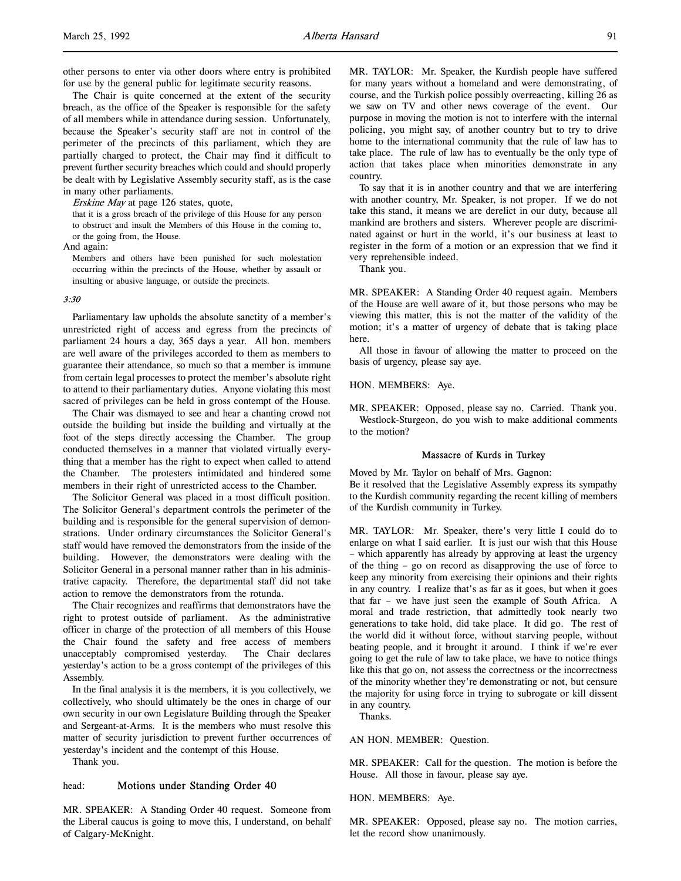other persons to enter via other doors where entry is prohibited for use by the general public for legitimate security reasons.

The Chair is quite concerned at the extent of the security breach, as the office of the Speaker is responsible for the safety of all members while in attendance during session. Unfortunately, because the Speaker's security staff are not in control of the perimeter of the precincts of this parliament, which they are partially charged to protect, the Chair may find it difficult to prevent further security breaches which could and should properly be dealt with by Legislative Assembly security staff, as is the case in many other parliaments.

Erskine May at page 126 states, quote,

that it is a gross breach of the privilege of this House for any person to obstruct and insult the Members of this House in the coming to, or the going from, the House.

And again:

Members and others have been punished for such molestation occurring within the precincts of the House, whether by assault or insulting or abusive language, or outside the precincts.

#### 3:30

Parliamentary law upholds the absolute sanctity of a member's unrestricted right of access and egress from the precincts of parliament 24 hours a day, 365 days a year. All hon. members are well aware of the privileges accorded to them as members to guarantee their attendance, so much so that a member is immune from certain legal processes to protect the member's absolute right to attend to their parliamentary duties. Anyone violating this most sacred of privileges can be held in gross contempt of the House.

The Chair was dismayed to see and hear a chanting crowd not outside the building but inside the building and virtually at the foot of the steps directly accessing the Chamber. The group conducted themselves in a manner that violated virtually everything that a member has the right to expect when called to attend the Chamber. The protesters intimidated and hindered some members in their right of unrestricted access to the Chamber.

The Solicitor General was placed in a most difficult position. The Solicitor General's department controls the perimeter of the building and is responsible for the general supervision of demonstrations. Under ordinary circumstances the Solicitor General's staff would have removed the demonstrators from the inside of the building. However, the demonstrators were dealing with the Solicitor General in a personal manner rather than in his administrative capacity. Therefore, the departmental staff did not take action to remove the demonstrators from the rotunda.

The Chair recognizes and reaffirms that demonstrators have the right to protest outside of parliament. As the administrative officer in charge of the protection of all members of this House the Chair found the safety and free access of members unacceptably compromised yesterday. The Chair declares yesterday's action to be a gross contempt of the privileges of this Assembly.

In the final analysis it is the members, it is you collectively, we collectively, who should ultimately be the ones in charge of our own security in our own Legislature Building through the Speaker and Sergeant-at-Arms. It is the members who must resolve this matter of security jurisdiction to prevent further occurrences of yesterday's incident and the contempt of this House.

Thank you.

## head: Motions under Standing Order 40

MR. SPEAKER: A Standing Order 40 request. Someone from the Liberal caucus is going to move this, I understand, on behalf of Calgary-McKnight.

MR. TAYLOR: Mr. Speaker, the Kurdish people have suffered for many years without a homeland and were demonstrating, of course, and the Turkish police possibly overreacting, killing 26 as we saw on TV and other news coverage of the event. Our purpose in moving the motion is not to interfere with the internal policing, you might say, of another country but to try to drive home to the international community that the rule of law has to take place. The rule of law has to eventually be the only type of action that takes place when minorities demonstrate in any country.

To say that it is in another country and that we are interfering with another country, Mr. Speaker, is not proper. If we do not take this stand, it means we are derelict in our duty, because all mankind are brothers and sisters. Wherever people are discriminated against or hurt in the world, it's our business at least to register in the form of a motion or an expression that we find it very reprehensible indeed.

Thank you.

MR. SPEAKER: A Standing Order 40 request again. Members of the House are well aware of it, but those persons who may be viewing this matter, this is not the matter of the validity of the motion; it's a matter of urgency of debate that is taking place here.

All those in favour of allowing the matter to proceed on the basis of urgency, please say aye.

## HON. MEMBERS: Aye.

MR. SPEAKER: Opposed, please say no. Carried. Thank you. Westlock-Sturgeon, do you wish to make additional comments to the motion?

## Massacre of Kurds in Turkey

Moved by Mr. Taylor on behalf of Mrs. Gagnon: Be it resolved that the Legislative Assembly express its sympathy to the Kurdish community regarding the recent killing of members of the Kurdish community in Turkey.

MR. TAYLOR: Mr. Speaker, there's very little I could do to enlarge on what I said earlier. It is just our wish that this House – which apparently has already by approving at least the urgency of the thing – go on record as disapproving the use of force to keep any minority from exercising their opinions and their rights in any country. I realize that's as far as it goes, but when it goes that far – we have just seen the example of South Africa. A moral and trade restriction, that admittedly took nearly two generations to take hold, did take place. It did go. The rest of the world did it without force, without starving people, without beating people, and it brought it around. I think if we're ever going to get the rule of law to take place, we have to notice things like this that go on, not assess the correctness or the incorrectness of the minority whether they're demonstrating or not, but censure the majority for using force in trying to subrogate or kill dissent in any country.

Thanks.

## AN HON. MEMBER: Question.

MR. SPEAKER: Call for the question. The motion is before the House. All those in favour, please say aye.

#### HON. MEMBERS: Aye.

MR. SPEAKER: Opposed, please say no. The motion carries, let the record show unanimously.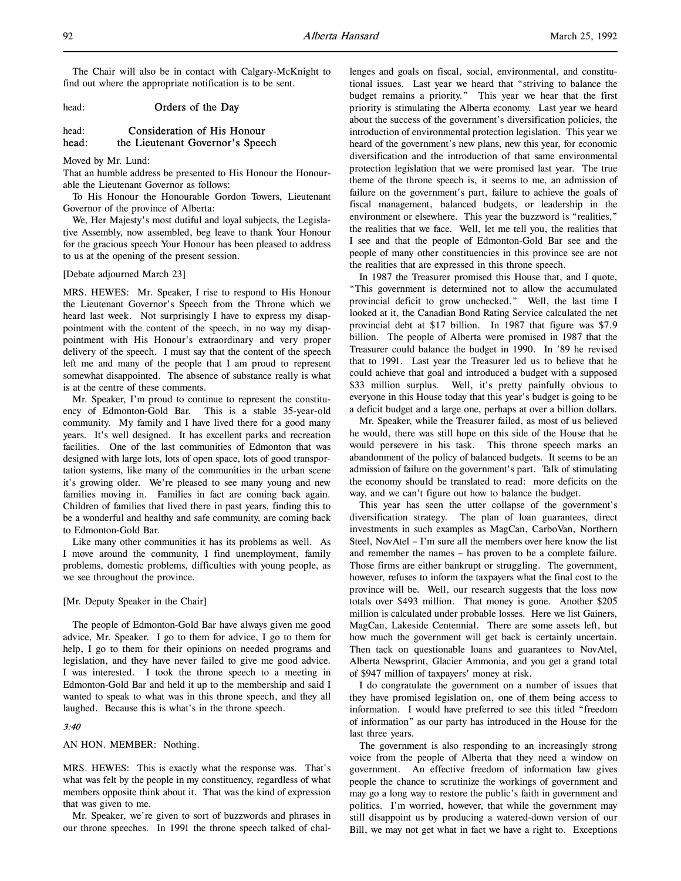The Chair will also be in contact with Calgary-McKnight to find out where the appropriate notification is to be sent.

# head: **Orders of the Day**

# head: Consideration of His Honour head: the Lieutenant Governor's Speech

Moved by Mr. Lund:

That an humble address be presented to His Honour the Honourable the Lieutenant Governor as follows:

To His Honour the Honourable Gordon Towers, Lieutenant Governor of the province of Alberta:

We, Her Majesty's most dutiful and loyal subjects, the Legislative Assembly, now assembled, beg leave to thank Your Honour for the gracious speech Your Honour has been pleased to address to us at the opening of the present session.

### [Debate adjourned March 23]

MRS. HEWES: Mr. Speaker, I rise to respond to His Honour the Lieutenant Governor's Speech from the Throne which we heard last week. Not surprisingly I have to express my disappointment with the content of the speech, in no way my disappointment with His Honour's extraordinary and very proper delivery of the speech. I must say that the content of the speech left me and many of the people that I am proud to represent somewhat disappointed. The absence of substance really is what is at the centre of these comments.

Mr. Speaker, I'm proud to continue to represent the constituency of Edmonton-Gold Bar. This is a stable 35-year-old community. My family and I have lived there for a good many years. It's well designed. It has excellent parks and recreation facilities. One of the last communities of Edmonton that was designed with large lots, lots of open space, lots of good transportation systems, like many of the communities in the urban scene it's growing older. We're pleased to see many young and new families moving in. Families in fact are coming back again. Children of families that lived there in past years, finding this to be a wonderful and healthy and safe community, are coming back to Edmonton-Gold Bar.

Like many other communities it has its problems as well. As I move around the community, I find unemployment, family problems, domestic problems, difficulties with young people, as we see throughout the province.

#### [Mr. Deputy Speaker in the Chair]

The people of Edmonton-Gold Bar have always given me good advice, Mr. Speaker. I go to them for advice, I go to them for help, I go to them for their opinions on needed programs and legislation, and they have never failed to give me good advice. I was interested. I took the throne speech to a meeting in Edmonton-Gold Bar and held it up to the membership and said I wanted to speak to what was in this throne speech, and they all laughed. Because this is what's in the throne speech.

#### 3:40

AN HON. MEMBER: Nothing.

MRS. HEWES: This is exactly what the response was. That's what was felt by the people in my constituency, regardless of what members opposite think about it. That was the kind of expression that was given to me.

Mr. Speaker, we're given to sort of buzzwords and phrases in our throne speeches. In 1991 the throne speech talked of challenges and goals on fiscal, social, environmental, and constitutional issues. Last year we heard that "striving to balance the budget remains a priority." This year we hear that the first priority is stimulating the Alberta economy. Last year we heard about the success of the government's diversification policies, the introduction of environmental protection legislation. This year we heard of the government's new plans, new this year, for economic diversification and the introduction of that same environmental protection legislation that we were promised last year. The true theme of the throne speech is, it seems to me, an admission of failure on the government's part, failure to achieve the goals of fiscal management, balanced budgets, or leadership in the environment or elsewhere. This year the buzzword is "realities," the realities that we face. Well, let me tell you, the realities that I see and that the people of Edmonton-Gold Bar see and the people of many other constituencies in this province see are not the realities that are expressed in this throne speech.

In 1987 the Treasurer promised this House that, and I quote, "This government is determined not to allow the accumulated provincial deficit to grow unchecked." Well, the last time I looked at it, the Canadian Bond Rating Service calculated the net provincial debt at \$17 billion. In 1987 that figure was \$7.9 billion. The people of Alberta were promised in 1987 that the Treasurer could balance the budget in 1990. In '89 he revised that to 1991. Last year the Treasurer led us to believe that he could achieve that goal and introduced a budget with a supposed \$33 million surplus. Well, it's pretty painfully obvious to everyone in this House today that this year's budget is going to be a deficit budget and a large one, perhaps at over a billion dollars.

Mr. Speaker, while the Treasurer failed, as most of us believed he would, there was still hope on this side of the House that he would persevere in his task. This throne speech marks an abandonment of the policy of balanced budgets. It seems to be an admission of failure on the government's part. Talk of stimulating the economy should be translated to read: more deficits on the way, and we can't figure out how to balance the budget.

This year has seen the utter collapse of the government's diversification strategy. The plan of loan guarantees, direct investments in such examples as MagCan, CarboVan, Northern Steel, NovAtel – I'm sure all the members over here know the list and remember the names – has proven to be a complete failure. Those firms are either bankrupt or struggling. The government, however, refuses to inform the taxpayers what the final cost to the province will be. Well, our research suggests that the loss now totals over \$493 million. That money is gone. Another \$205 million is calculated under probable losses. Here we list Gainers, MagCan, Lakeside Centennial. There are some assets left, but how much the government will get back is certainly uncertain. Then tack on questionable loans and guarantees to NovAtel, Alberta Newsprint, Glacier Ammonia, and you get a grand total of \$947 million of taxpayers' money at risk.

I do congratulate the government on a number of issues that they have promised legislation on, one of them being access to information. I would have preferred to see this titled "freedom of information" as our party has introduced in the House for the last three years.

The government is also responding to an increasingly strong voice from the people of Alberta that they need a window on government. An effective freedom of information law gives people the chance to scrutinize the workings of government and may go a long way to restore the public's faith in government and politics. I'm worried, however, that while the government may still disappoint us by producing a watered-down version of our Bill, we may not get what in fact we have a right to. Exceptions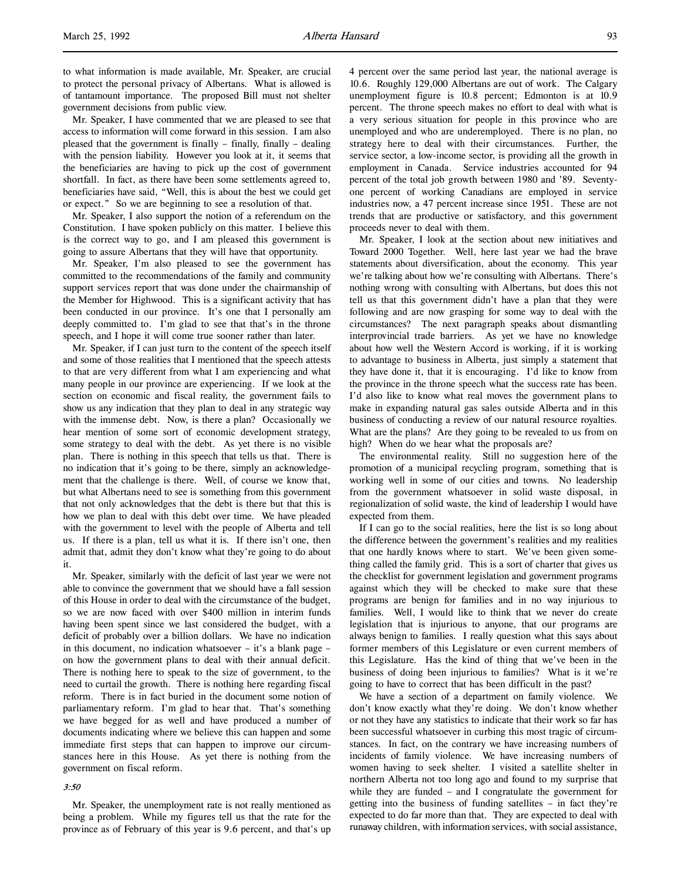to what information is made available, Mr. Speaker, are crucial to protect the personal privacy of Albertans. What is allowed is of tantamount importance. The proposed Bill must not shelter government decisions from public view.

Mr. Speaker, I have commented that we are pleased to see that access to information will come forward in this session. I am also pleased that the government is finally – finally, finally – dealing with the pension liability. However you look at it, it seems that the beneficiaries are having to pick up the cost of government shortfall. In fact, as there have been some settlements agreed to, beneficiaries have said, "Well, this is about the best we could get or expect." So we are beginning to see a resolution of that.

Mr. Speaker, I also support the notion of a referendum on the Constitution. I have spoken publicly on this matter. I believe this is the correct way to go, and I am pleased this government is going to assure Albertans that they will have that opportunity.

Mr. Speaker, I'm also pleased to see the government has committed to the recommendations of the family and community support services report that was done under the chairmanship of the Member for Highwood. This is a significant activity that has been conducted in our province. It's one that I personally am deeply committed to. I'm glad to see that that's in the throne speech, and I hope it will come true sooner rather than later.

Mr. Speaker, if I can just turn to the content of the speech itself and some of those realities that I mentioned that the speech attests to that are very different from what I am experiencing and what many people in our province are experiencing. If we look at the section on economic and fiscal reality, the government fails to show us any indication that they plan to deal in any strategic way with the immense debt. Now, is there a plan? Occasionally we hear mention of some sort of economic development strategy, some strategy to deal with the debt. As yet there is no visible plan. There is nothing in this speech that tells us that. There is no indication that it's going to be there, simply an acknowledgement that the challenge is there. Well, of course we know that, but what Albertans need to see is something from this government that not only acknowledges that the debt is there but that this is how we plan to deal with this debt over time. We have pleaded with the government to level with the people of Alberta and tell us. If there is a plan, tell us what it is. If there isn't one, then admit that, admit they don't know what they're going to do about it.

Mr. Speaker, similarly with the deficit of last year we were not able to convince the government that we should have a fall session of this House in order to deal with the circumstance of the budget, so we are now faced with over \$400 million in interim funds having been spent since we last considered the budget, with a deficit of probably over a billion dollars. We have no indication in this document, no indication whatsoever – it's a blank page – on how the government plans to deal with their annual deficit. There is nothing here to speak to the size of government, to the need to curtail the growth. There is nothing here regarding fiscal reform. There is in fact buried in the document some notion of parliamentary reform. I'm glad to hear that. That's something we have begged for as well and have produced a number of documents indicating where we believe this can happen and some immediate first steps that can happen to improve our circumstances here in this House. As yet there is nothing from the government on fiscal reform.

## 3:50

Mr. Speaker, the unemployment rate is not really mentioned as being a problem. While my figures tell us that the rate for the province as of February of this year is 9.6 percent, and that's up

4 percent over the same period last year, the national average is 10.6. Roughly 129,000 Albertans are out of work. The Calgary unemployment figure is 10.8 percent; Edmonton is at 10.9 percent. The throne speech makes no effort to deal with what is a very serious situation for people in this province who are unemployed and who are underemployed. There is no plan, no strategy here to deal with their circumstances. Further, the service sector, a low-income sector, is providing all the growth in employment in Canada. Service industries accounted for 94 percent of the total job growth between 1980 and '89. Seventyone percent of working Canadians are employed in service industries now, a 47 percent increase since 1951. These are not trends that are productive or satisfactory, and this government proceeds never to deal with them.

Mr. Speaker, I look at the section about new initiatives and Toward 2000 Together. Well, here last year we had the brave statements about diversification, about the economy. This year we're talking about how we're consulting with Albertans. There's nothing wrong with consulting with Albertans, but does this not tell us that this government didn't have a plan that they were following and are now grasping for some way to deal with the circumstances? The next paragraph speaks about dismantling interprovincial trade barriers. As yet we have no knowledge about how well the Western Accord is working, if it is working to advantage to business in Alberta, just simply a statement that they have done it, that it is encouraging. I'd like to know from the province in the throne speech what the success rate has been. I'd also like to know what real moves the government plans to make in expanding natural gas sales outside Alberta and in this business of conducting a review of our natural resource royalties. What are the plans? Are they going to be revealed to us from on high? When do we hear what the proposals are?

The environmental reality. Still no suggestion here of the promotion of a municipal recycling program, something that is working well in some of our cities and towns. No leadership from the government whatsoever in solid waste disposal, in regionalization of solid waste, the kind of leadership I would have expected from them.

If I can go to the social realities, here the list is so long about the difference between the government's realities and my realities that one hardly knows where to start. We've been given something called the family grid. This is a sort of charter that gives us the checklist for government legislation and government programs against which they will be checked to make sure that these programs are benign for families and in no way injurious to families. Well, I would like to think that we never do create legislation that is injurious to anyone, that our programs are always benign to families. I really question what this says about former members of this Legislature or even current members of this Legislature. Has the kind of thing that we've been in the business of doing been injurious to families? What is it we're going to have to correct that has been difficult in the past?

We have a section of a department on family violence. We don't know exactly what they're doing. We don't know whether or not they have any statistics to indicate that their work so far has been successful whatsoever in curbing this most tragic of circumstances. In fact, on the contrary we have increasing numbers of incidents of family violence. We have increasing numbers of women having to seek shelter. I visited a satellite shelter in northern Alberta not too long ago and found to my surprise that while they are funded – and I congratulate the government for getting into the business of funding satellites – in fact they're expected to do far more than that. They are expected to deal with runaway children, with information services, with social assistance,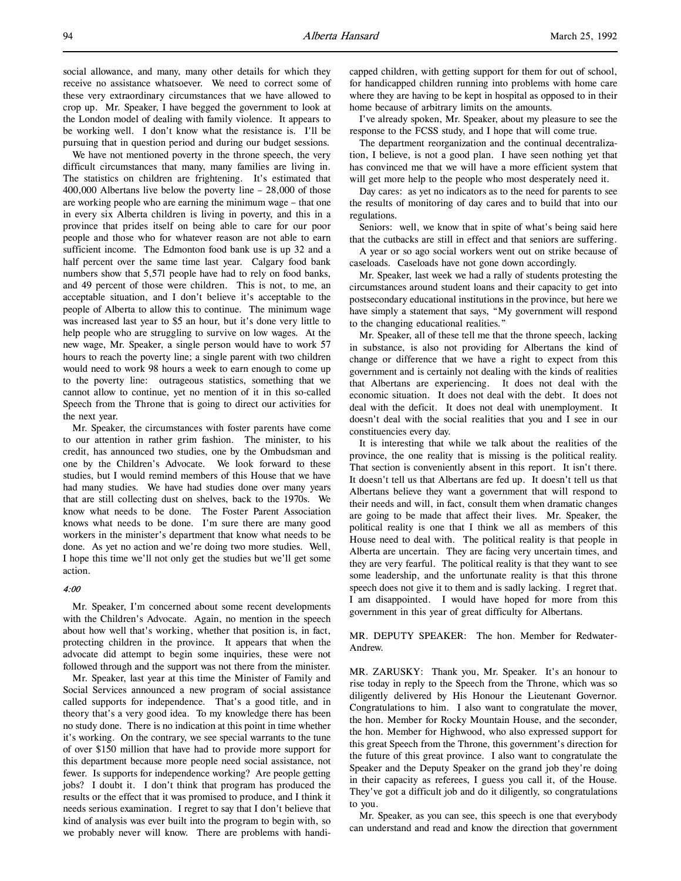We have not mentioned poverty in the throne speech, the very difficult circumstances that many, many families are living in. The statistics on children are frightening. It's estimated that 400,000 Albertans live below the poverty line – 28,000 of those are working people who are earning the minimum wage – that one in every six Alberta children is living in poverty, and this in a province that prides itself on being able to care for our poor people and those who for whatever reason are not able to earn sufficient income. The Edmonton food bank use is up 32 and a half percent over the same time last year. Calgary food bank numbers show that 5,571 people have had to rely on food banks, and 49 percent of those were children. This is not, to me, an acceptable situation, and I don't believe it's acceptable to the people of Alberta to allow this to continue. The minimum wage was increased last year to \$5 an hour, but it's done very little to help people who are struggling to survive on low wages. At the new wage, Mr. Speaker, a single person would have to work 57 hours to reach the poverty line; a single parent with two children would need to work 98 hours a week to earn enough to come up to the poverty line: outrageous statistics, something that we cannot allow to continue, yet no mention of it in this so-called Speech from the Throne that is going to direct our activities for the next year.

Mr. Speaker, the circumstances with foster parents have come to our attention in rather grim fashion. The minister, to his credit, has announced two studies, one by the Ombudsman and one by the Children's Advocate. We look forward to these studies, but I would remind members of this House that we have had many studies. We have had studies done over many years that are still collecting dust on shelves, back to the 1970s. We know what needs to be done. The Foster Parent Association knows what needs to be done. I'm sure there are many good workers in the minister's department that know what needs to be done. As yet no action and we're doing two more studies. Well, I hope this time we'll not only get the studies but we'll get some action.

#### 4:00

Mr. Speaker, I'm concerned about some recent developments with the Children's Advocate. Again, no mention in the speech about how well that's working, whether that position is, in fact, protecting children in the province. It appears that when the advocate did attempt to begin some inquiries, these were not followed through and the support was not there from the minister.

Mr. Speaker, last year at this time the Minister of Family and Social Services announced a new program of social assistance called supports for independence. That's a good title, and in theory that's a very good idea. To my knowledge there has been no study done. There is no indication at this point in time whether it's working. On the contrary, we see special warrants to the tune of over \$150 million that have had to provide more support for this department because more people need social assistance, not fewer. Is supports for independence working? Are people getting jobs? I doubt it. I don't think that program has produced the results or the effect that it was promised to produce, and I think it needs serious examination. I regret to say that I don't believe that kind of analysis was ever built into the program to begin with, so we probably never will know. There are problems with handicapped children, with getting support for them for out of school, for handicapped children running into problems with home care where they are having to be kept in hospital as opposed to in their home because of arbitrary limits on the amounts.

I've already spoken, Mr. Speaker, about my pleasure to see the response to the FCSS study, and I hope that will come true.

The department reorganization and the continual decentralization, I believe, is not a good plan. I have seen nothing yet that has convinced me that we will have a more efficient system that will get more help to the people who most desperately need it.

Day cares: as yet no indicators as to the need for parents to see the results of monitoring of day cares and to build that into our regulations.

Seniors: well, we know that in spite of what's being said here that the cutbacks are still in effect and that seniors are suffering.

A year or so ago social workers went out on strike because of caseloads. Caseloads have not gone down accordingly.

Mr. Speaker, last week we had a rally of students protesting the circumstances around student loans and their capacity to get into postsecondary educational institutions in the province, but here we have simply a statement that says, "My government will respond to the changing educational realities."

Mr. Speaker, all of these tell me that the throne speech, lacking in substance, is also not providing for Albertans the kind of change or difference that we have a right to expect from this government and is certainly not dealing with the kinds of realities that Albertans are experiencing. It does not deal with the economic situation. It does not deal with the debt. It does not deal with the deficit. It does not deal with unemployment. It doesn't deal with the social realities that you and I see in our constituencies every day.

It is interesting that while we talk about the realities of the province, the one reality that is missing is the political reality. That section is conveniently absent in this report. It isn't there. It doesn't tell us that Albertans are fed up. It doesn't tell us that Albertans believe they want a government that will respond to their needs and will, in fact, consult them when dramatic changes are going to be made that affect their lives. Mr. Speaker, the political reality is one that I think we all as members of this House need to deal with. The political reality is that people in Alberta are uncertain. They are facing very uncertain times, and they are very fearful. The political reality is that they want to see some leadership, and the unfortunate reality is that this throne speech does not give it to them and is sadly lacking. I regret that. I am disappointed. I would have hoped for more from this government in this year of great difficulty for Albertans.

MR. DEPUTY SPEAKER: The hon. Member for Redwater-Andrew.

MR. ZARUSKY: Thank you, Mr. Speaker. It's an honour to rise today in reply to the Speech from the Throne, which was so diligently delivered by His Honour the Lieutenant Governor. Congratulations to him. I also want to congratulate the mover, the hon. Member for Rocky Mountain House, and the seconder, the hon. Member for Highwood, who also expressed support for this great Speech from the Throne, this government's direction for the future of this great province. I also want to congratulate the Speaker and the Deputy Speaker on the grand job they're doing in their capacity as referees, I guess you call it, of the House. They've got a difficult job and do it diligently, so congratulations to you.

Mr. Speaker, as you can see, this speech is one that everybody can understand and read and know the direction that government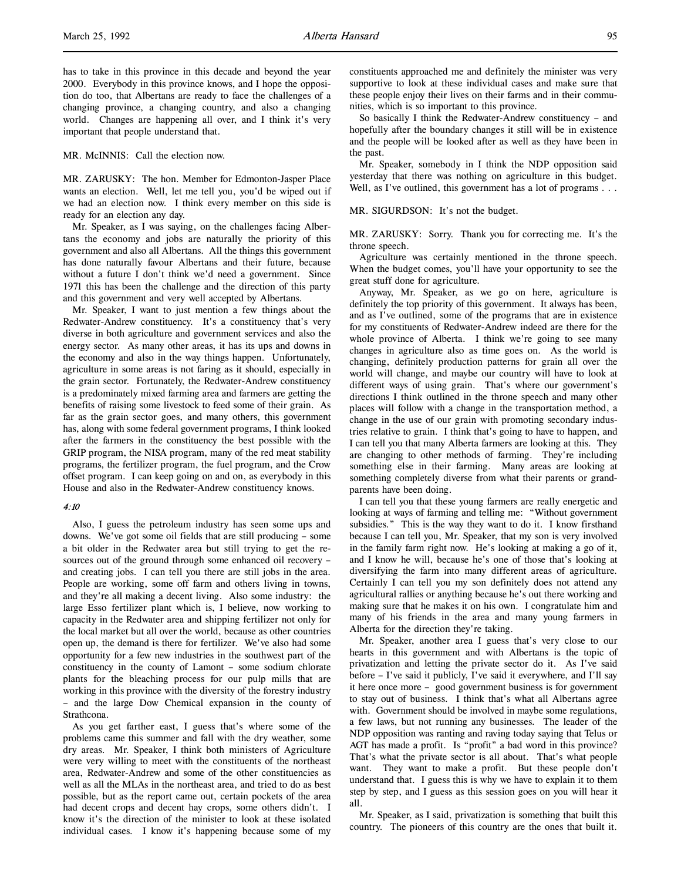has to take in this province in this decade and beyond the year 2000. Everybody in this province knows, and I hope the opposition do too, that Albertans are ready to face the challenges of a changing province, a changing country, and also a changing world. Changes are happening all over, and I think it's very important that people understand that.

MR. McINNIS: Call the election now.

MR. ZARUSKY: The hon. Member for Edmonton-Jasper Place wants an election. Well, let me tell you, you'd be wiped out if we had an election now. I think every member on this side is ready for an election any day.

Mr. Speaker, as I was saying, on the challenges facing Albertans the economy and jobs are naturally the priority of this government and also all Albertans. All the things this government has done naturally favour Albertans and their future, because without a future I don't think we'd need a government. Since 1971 this has been the challenge and the direction of this party and this government and very well accepted by Albertans.

Mr. Speaker, I want to just mention a few things about the Redwater-Andrew constituency. It's a constituency that's very diverse in both agriculture and government services and also the energy sector. As many other areas, it has its ups and downs in the economy and also in the way things happen. Unfortunately, agriculture in some areas is not faring as it should, especially in the grain sector. Fortunately, the Redwater-Andrew constituency is a predominately mixed farming area and farmers are getting the benefits of raising some livestock to feed some of their grain. As far as the grain sector goes, and many others, this government has, along with some federal government programs, I think looked after the farmers in the constituency the best possible with the GRIP program, the NISA program, many of the red meat stability programs, the fertilizer program, the fuel program, and the Crow offset program. I can keep going on and on, as everybody in this House and also in the Redwater-Andrew constituency knows.

#### 4:10

Also, I guess the petroleum industry has seen some ups and downs. We've got some oil fields that are still producing – some a bit older in the Redwater area but still trying to get the resources out of the ground through some enhanced oil recovery – and creating jobs. I can tell you there are still jobs in the area. People are working, some off farm and others living in towns, and they're all making a decent living. Also some industry: the large Esso fertilizer plant which is, I believe, now working to capacity in the Redwater area and shipping fertilizer not only for the local market but all over the world, because as other countries open up, the demand is there for fertilizer. We've also had some opportunity for a few new industries in the southwest part of the constituency in the county of Lamont – some sodium chlorate plants for the bleaching process for our pulp mills that are working in this province with the diversity of the forestry industry – and the large Dow Chemical expansion in the county of Strathcona.

As you get farther east, I guess that's where some of the problems came this summer and fall with the dry weather, some dry areas. Mr. Speaker, I think both ministers of Agriculture were very willing to meet with the constituents of the northeast area, Redwater-Andrew and some of the other constituencies as well as all the MLAs in the northeast area, and tried to do as best possible, but as the report came out, certain pockets of the area had decent crops and decent hay crops, some others didn't. I know it's the direction of the minister to look at these isolated individual cases. I know it's happening because some of my

constituents approached me and definitely the minister was very supportive to look at these individual cases and make sure that these people enjoy their lives on their farms and in their communities, which is so important to this province.

So basically I think the Redwater-Andrew constituency – and hopefully after the boundary changes it still will be in existence and the people will be looked after as well as they have been in the past.

Mr. Speaker, somebody in I think the NDP opposition said yesterday that there was nothing on agriculture in this budget. Well, as I've outlined, this government has a lot of programs . . .

MR. SIGURDSON: It's not the budget.

MR. ZARUSKY: Sorry. Thank you for correcting me. It's the throne speech.

Agriculture was certainly mentioned in the throne speech. When the budget comes, you'll have your opportunity to see the great stuff done for agriculture.

Anyway, Mr. Speaker, as we go on here, agriculture is definitely the top priority of this government. It always has been, and as I've outlined, some of the programs that are in existence for my constituents of Redwater-Andrew indeed are there for the whole province of Alberta. I think we're going to see many changes in agriculture also as time goes on. As the world is changing, definitely production patterns for grain all over the world will change, and maybe our country will have to look at different ways of using grain. That's where our government's directions I think outlined in the throne speech and many other places will follow with a change in the transportation method, a change in the use of our grain with promoting secondary industries relative to grain. I think that's going to have to happen, and I can tell you that many Alberta farmers are looking at this. They are changing to other methods of farming. They're including something else in their farming. Many areas are looking at something completely diverse from what their parents or grandparents have been doing.

I can tell you that these young farmers are really energetic and looking at ways of farming and telling me: "Without government subsidies." This is the way they want to do it. I know firsthand because I can tell you, Mr. Speaker, that my son is very involved in the family farm right now. He's looking at making a go of it, and I know he will, because he's one of those that's looking at diversifying the farm into many different areas of agriculture. Certainly I can tell you my son definitely does not attend any agricultural rallies or anything because he's out there working and making sure that he makes it on his own. I congratulate him and many of his friends in the area and many young farmers in Alberta for the direction they're taking.

Mr. Speaker, another area I guess that's very close to our hearts in this government and with Albertans is the topic of privatization and letting the private sector do it. As I've said before – I've said it publicly, I've said it everywhere, and I'll say it here once more – good government business is for government to stay out of business. I think that's what all Albertans agree with. Government should be involved in maybe some regulations, a few laws, but not running any businesses. The leader of the NDP opposition was ranting and raving today saying that Telus or AGT has made a profit. Is "profit" a bad word in this province? That's what the private sector is all about. That's what people want. They want to make a profit. But these people don't understand that. I guess this is why we have to explain it to them step by step, and I guess as this session goes on you will hear it all.

Mr. Speaker, as I said, privatization is something that built this country. The pioneers of this country are the ones that built it.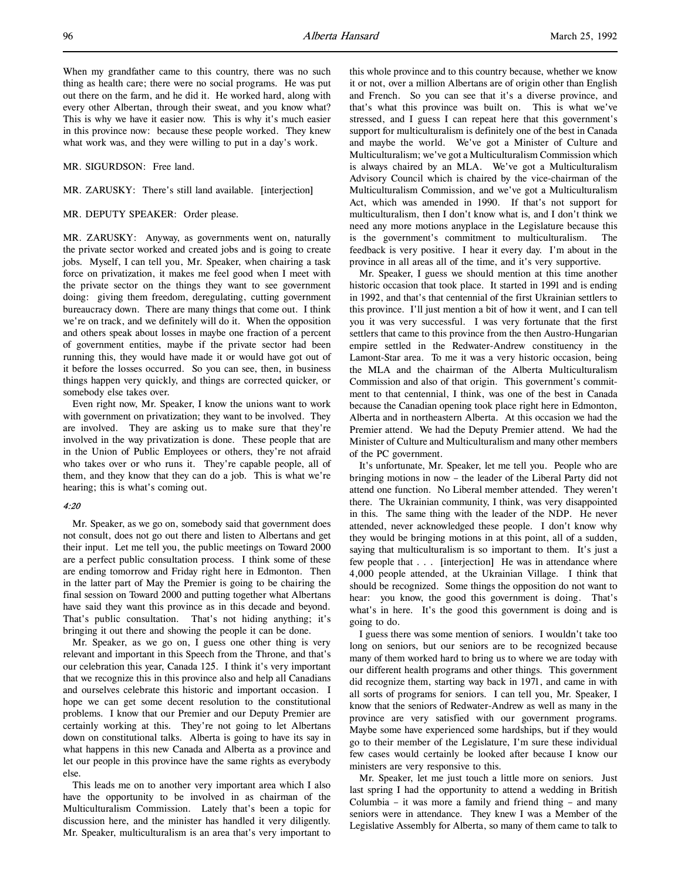When my grandfather came to this country, there was no such thing as health care; there were no social programs. He was put out there on the farm, and he did it. He worked hard, along with every other Albertan, through their sweat, and you know what? This is why we have it easier now. This is why it's much easier in this province now: because these people worked. They knew what work was, and they were willing to put in a day's work.

MR. SIGURDSON: Free land.

MR. ZARUSKY: There's still land available. [interjection]

#### MR. DEPUTY SPEAKER: Order please.

MR. ZARUSKY: Anyway, as governments went on, naturally the private sector worked and created jobs and is going to create jobs. Myself, I can tell you, Mr. Speaker, when chairing a task force on privatization, it makes me feel good when I meet with the private sector on the things they want to see government doing: giving them freedom, deregulating, cutting government bureaucracy down. There are many things that come out. I think we're on track, and we definitely will do it. When the opposition and others speak about losses in maybe one fraction of a percent of government entities, maybe if the private sector had been running this, they would have made it or would have got out of it before the losses occurred. So you can see, then, in business things happen very quickly, and things are corrected quicker, or somebody else takes over.

Even right now, Mr. Speaker, I know the unions want to work with government on privatization; they want to be involved. They are involved. They are asking us to make sure that they're involved in the way privatization is done. These people that are in the Union of Public Employees or others, they're not afraid who takes over or who runs it. They're capable people, all of them, and they know that they can do a job. This is what we're hearing; this is what's coming out.

## 4:20

Mr. Speaker, as we go on, somebody said that government does not consult, does not go out there and listen to Albertans and get their input. Let me tell you, the public meetings on Toward 2000 are a perfect public consultation process. I think some of these are ending tomorrow and Friday right here in Edmonton. Then in the latter part of May the Premier is going to be chairing the final session on Toward 2000 and putting together what Albertans have said they want this province as in this decade and beyond. That's public consultation. That's not hiding anything; it's bringing it out there and showing the people it can be done.

Mr. Speaker, as we go on, I guess one other thing is very relevant and important in this Speech from the Throne, and that's our celebration this year, Canada 125. I think it's very important that we recognize this in this province also and help all Canadians and ourselves celebrate this historic and important occasion. I hope we can get some decent resolution to the constitutional problems. I know that our Premier and our Deputy Premier are certainly working at this. They're not going to let Albertans down on constitutional talks. Alberta is going to have its say in what happens in this new Canada and Alberta as a province and let our people in this province have the same rights as everybody else.

This leads me on to another very important area which I also have the opportunity to be involved in as chairman of the Multiculturalism Commission. Lately that's been a topic for discussion here, and the minister has handled it very diligently. Mr. Speaker, multiculturalism is an area that's very important to

this whole province and to this country because, whether we know it or not, over a million Albertans are of origin other than English and French. So you can see that it's a diverse province, and that's what this province was built on. This is what we've stressed, and I guess I can repeat here that this government's support for multiculturalism is definitely one of the best in Canada and maybe the world. We've got a Minister of Culture and Multiculturalism; we've got a Multiculturalism Commission which is always chaired by an MLA. We've got a Multiculturalism Advisory Council which is chaired by the vice-chairman of the Multiculturalism Commission, and we've got a Multiculturalism Act, which was amended in 1990. If that's not support for multiculturalism, then I don't know what is, and I don't think we need any more motions anyplace in the Legislature because this is the government's commitment to multiculturalism. The feedback is very positive. I hear it every day. I'm about in the province in all areas all of the time, and it's very supportive.

Mr. Speaker, I guess we should mention at this time another historic occasion that took place. It started in 1991 and is ending in 1992, and that's that centennial of the first Ukrainian settlers to this province. I'll just mention a bit of how it went, and I can tell you it was very successful. I was very fortunate that the first settlers that came to this province from the then Austro-Hungarian empire settled in the Redwater-Andrew constituency in the Lamont-Star area. To me it was a very historic occasion, being the MLA and the chairman of the Alberta Multiculturalism Commission and also of that origin. This government's commitment to that centennial, I think, was one of the best in Canada because the Canadian opening took place right here in Edmonton, Alberta and in northeastern Alberta. At this occasion we had the Premier attend. We had the Deputy Premier attend. We had the Minister of Culture and Multiculturalism and many other members of the PC government.

It's unfortunate, Mr. Speaker, let me tell you. People who are bringing motions in now – the leader of the Liberal Party did not attend one function. No Liberal member attended. They weren't there. The Ukrainian community, I think, was very disappointed in this. The same thing with the leader of the NDP. He never attended, never acknowledged these people. I don't know why they would be bringing motions in at this point, all of a sudden, saying that multiculturalism is so important to them. It's just a few people that . . . [interjection] He was in attendance where 4,000 people attended, at the Ukrainian Village. I think that should be recognized. Some things the opposition do not want to hear: you know, the good this government is doing. That's what's in here. It's the good this government is doing and is going to do.

I guess there was some mention of seniors. I wouldn't take too long on seniors, but our seniors are to be recognized because many of them worked hard to bring us to where we are today with our different health programs and other things. This government did recognize them, starting way back in 1971, and came in with all sorts of programs for seniors. I can tell you, Mr. Speaker, I know that the seniors of Redwater-Andrew as well as many in the province are very satisfied with our government programs. Maybe some have experienced some hardships, but if they would go to their member of the Legislature, I'm sure these individual few cases would certainly be looked after because I know our ministers are very responsive to this.

Mr. Speaker, let me just touch a little more on seniors. Just last spring I had the opportunity to attend a wedding in British Columbia – it was more a family and friend thing – and many seniors were in attendance. They knew I was a Member of the Legislative Assembly for Alberta, so many of them came to talk to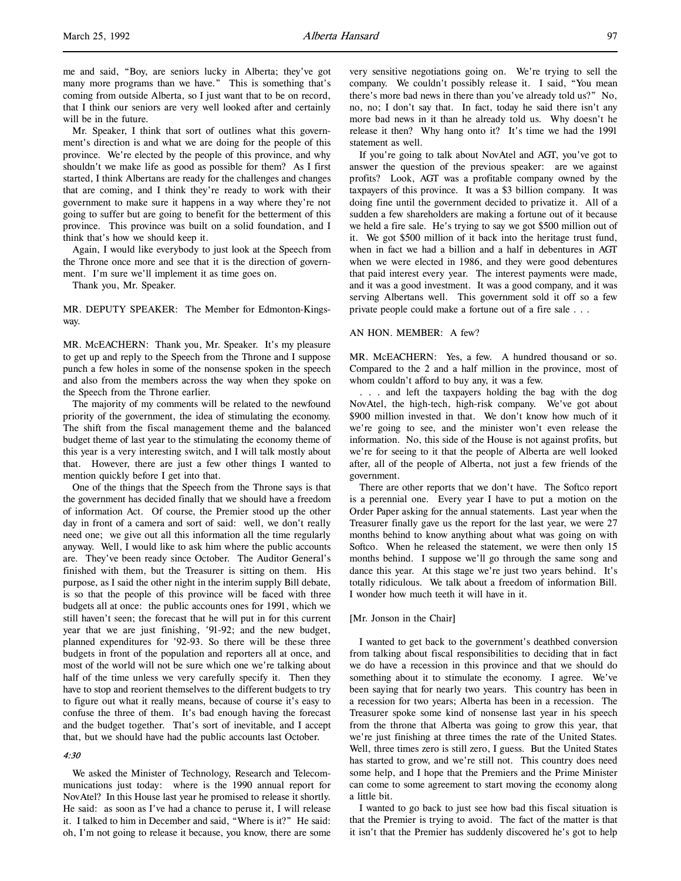Mr. Speaker, I think that sort of outlines what this government's direction is and what we are doing for the people of this province. We're elected by the people of this province, and why shouldn't we make life as good as possible for them? As I first started, I think Albertans are ready for the challenges and changes that are coming, and I think they're ready to work with their government to make sure it happens in a way where they're not going to suffer but are going to benefit for the betterment of this province. This province was built on a solid foundation, and I think that's how we should keep it.

Again, I would like everybody to just look at the Speech from the Throne once more and see that it is the direction of government. I'm sure we'll implement it as time goes on.

Thank you, Mr. Speaker.

MR. DEPUTY SPEAKER: The Member for Edmonton-Kingsway.

MR. McEACHERN: Thank you, Mr. Speaker. It's my pleasure to get up and reply to the Speech from the Throne and I suppose punch a few holes in some of the nonsense spoken in the speech and also from the members across the way when they spoke on the Speech from the Throne earlier.

The majority of my comments will be related to the newfound priority of the government, the idea of stimulating the economy. The shift from the fiscal management theme and the balanced budget theme of last year to the stimulating the economy theme of this year is a very interesting switch, and I will talk mostly about that. However, there are just a few other things I wanted to mention quickly before I get into that.

One of the things that the Speech from the Throne says is that the government has decided finally that we should have a freedom of information Act. Of course, the Premier stood up the other day in front of a camera and sort of said: well, we don't really need one; we give out all this information all the time regularly anyway. Well, I would like to ask him where the public accounts are. They've been ready since October. The Auditor General's finished with them, but the Treasurer is sitting on them. His purpose, as I said the other night in the interim supply Bill debate, is so that the people of this province will be faced with three budgets all at once: the public accounts ones for 1991, which we still haven't seen; the forecast that he will put in for this current year that we are just finishing, '91-92; and the new budget, planned expenditures for '92-93. So there will be these three budgets in front of the population and reporters all at once, and most of the world will not be sure which one we're talking about half of the time unless we very carefully specify it. Then they have to stop and reorient themselves to the different budgets to try to figure out what it really means, because of course it's easy to confuse the three of them. It's bad enough having the forecast and the budget together. That's sort of inevitable, and I accept that, but we should have had the public accounts last October.

## 4:30

We asked the Minister of Technology, Research and Telecommunications just today: where is the 1990 annual report for NovAtel? In this House last year he promised to release it shortly. He said: as soon as I've had a chance to peruse it, I will release it. I talked to him in December and said, "Where is it?" He said: oh, I'm not going to release it because, you know, there are some statement as well. If you're going to talk about NovAtel and AGT, you've got to answer the question of the previous speaker: are we against profits? Look, AGT was a profitable company owned by the taxpayers of this province. It was a \$3 billion company. It was doing fine until the government decided to privatize it. All of a sudden a few shareholders are making a fortune out of it because we held a fire sale. He's trying to say we got \$500 million out of it. We got \$500 million of it back into the heritage trust fund, when in fact we had a billion and a half in debentures in AGT when we were elected in 1986, and they were good debentures that paid interest every year. The interest payments were made, and it was a good investment. It was a good company, and it was serving Albertans well. This government sold it off so a few private people could make a fortune out of a fire sale . . .

#### AN HON. MEMBER: A few?

MR. McEACHERN: Yes, a few. A hundred thousand or so. Compared to the 2 and a half million in the province, most of whom couldn't afford to buy any, it was a few.

. . . and left the taxpayers holding the bag with the dog NovAtel, the high-tech, high-risk company. We've got about \$900 million invested in that. We don't know how much of it we're going to see, and the minister won't even release the information. No, this side of the House is not against profits, but we're for seeing to it that the people of Alberta are well looked after, all of the people of Alberta, not just a few friends of the government.

There are other reports that we don't have. The Softco report is a perennial one. Every year I have to put a motion on the Order Paper asking for the annual statements. Last year when the Treasurer finally gave us the report for the last year, we were 27 months behind to know anything about what was going on with Softco. When he released the statement, we were then only 15 months behind. I suppose we'll go through the same song and dance this year. At this stage we're just two years behind. It's totally ridiculous. We talk about a freedom of information Bill. I wonder how much teeth it will have in it.

#### [Mr. Jonson in the Chair]

I wanted to get back to the government's deathbed conversion from talking about fiscal responsibilities to deciding that in fact we do have a recession in this province and that we should do something about it to stimulate the economy. I agree. We've been saying that for nearly two years. This country has been in a recession for two years; Alberta has been in a recession. The Treasurer spoke some kind of nonsense last year in his speech from the throne that Alberta was going to grow this year, that we're just finishing at three times the rate of the United States. Well, three times zero is still zero, I guess. But the United States has started to grow, and we're still not. This country does need some help, and I hope that the Premiers and the Prime Minister can come to some agreement to start moving the economy along a little bit.

I wanted to go back to just see how bad this fiscal situation is that the Premier is trying to avoid. The fact of the matter is that it isn't that the Premier has suddenly discovered he's got to help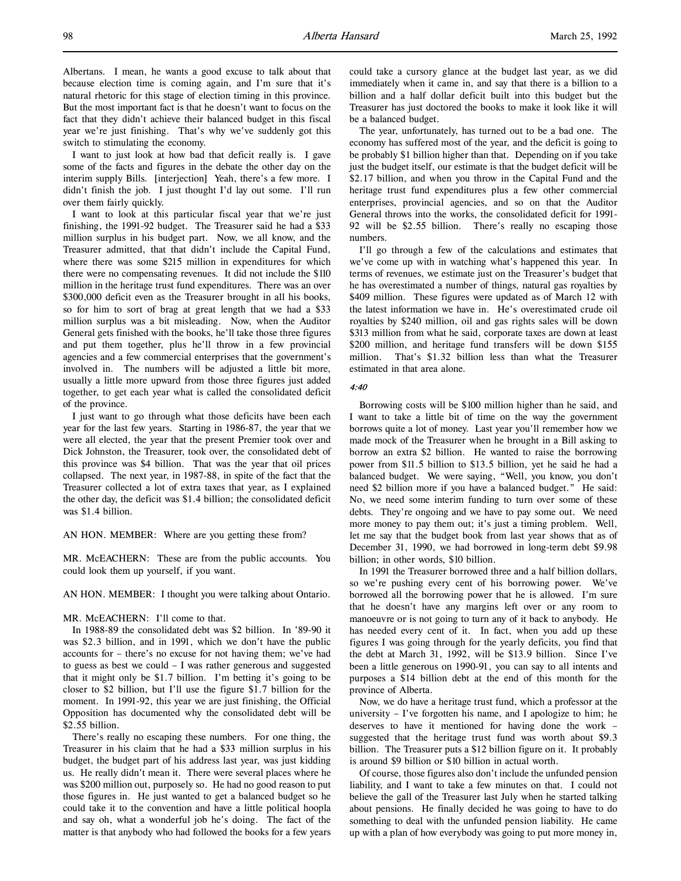Albertans. I mean, he wants a good excuse to talk about that because election time is coming again, and I'm sure that it's natural rhetoric for this stage of election timing in this province. But the most important fact is that he doesn't want to focus on the fact that they didn't achieve their balanced budget in this fiscal year we're just finishing. That's why we've suddenly got this switch to stimulating the economy.

I want to just look at how bad that deficit really is. I gave some of the facts and figures in the debate the other day on the interim supply Bills. [interjection] Yeah, there's a few more. I didn't finish the job. I just thought I'd lay out some. I'll run over them fairly quickly.

I want to look at this particular fiscal year that we're just finishing, the 1991-92 budget. The Treasurer said he had a \$33 million surplus in his budget part. Now, we all know, and the Treasurer admitted, that that didn't include the Capital Fund, where there was some \$215 million in expenditures for which there were no compensating revenues. It did not include the \$110 million in the heritage trust fund expenditures. There was an over \$300,000 deficit even as the Treasurer brought in all his books, so for him to sort of brag at great length that we had a \$33 million surplus was a bit misleading. Now, when the Auditor General gets finished with the books, he'll take those three figures and put them together, plus he'll throw in a few provincial agencies and a few commercial enterprises that the government's involved in. The numbers will be adjusted a little bit more, usually a little more upward from those three figures just added together, to get each year what is called the consolidated deficit of the province.

I just want to go through what those deficits have been each year for the last few years. Starting in 1986-87, the year that we were all elected, the year that the present Premier took over and Dick Johnston, the Treasurer, took over, the consolidated debt of this province was \$4 billion. That was the year that oil prices collapsed. The next year, in 1987-88, in spite of the fact that the Treasurer collected a lot of extra taxes that year, as I explained the other day, the deficit was \$1.4 billion; the consolidated deficit was \$1.4 billion.

AN HON. MEMBER: Where are you getting these from?

MR. McEACHERN: These are from the public accounts. You could look them up yourself, if you want.

AN HON. MEMBER: I thought you were talking about Ontario.

MR. McEACHERN: I'll come to that.

In 1988-89 the consolidated debt was \$2 billion. In '89-90 it was \$2.3 billion, and in 1991, which we don't have the public accounts for – there's no excuse for not having them; we've had to guess as best we could – I was rather generous and suggested that it might only be \$1.7 billion. I'm betting it's going to be closer to \$2 billion, but I'll use the figure \$1.7 billion for the moment. In 1991-92, this year we are just finishing, the Official Opposition has documented why the consolidated debt will be \$2.55 billion.

There's really no escaping these numbers. For one thing, the Treasurer in his claim that he had a \$33 million surplus in his budget, the budget part of his address last year, was just kidding us. He really didn't mean it. There were several places where he was \$200 million out, purposely so. He had no good reason to put those figures in. He just wanted to get a balanced budget so he could take it to the convention and have a little political hoopla and say oh, what a wonderful job he's doing. The fact of the matter is that anybody who had followed the books for a few years

could take a cursory glance at the budget last year, as we did immediately when it came in, and say that there is a billion to a billion and a half dollar deficit built into this budget but the Treasurer has just doctored the books to make it look like it will be a balanced budget.

The year, unfortunately, has turned out to be a bad one. The economy has suffered most of the year, and the deficit is going to be probably \$1 billion higher than that. Depending on if you take just the budget itself, our estimate is that the budget deficit will be \$2.17 billion, and when you throw in the Capital Fund and the heritage trust fund expenditures plus a few other commercial enterprises, provincial agencies, and so on that the Auditor General throws into the works, the consolidated deficit for 1991- 92 will be \$2.55 billion. There's really no escaping those numbers.

I'll go through a few of the calculations and estimates that we've come up with in watching what's happened this year. In terms of revenues, we estimate just on the Treasurer's budget that he has overestimated a number of things, natural gas royalties by \$409 million. These figures were updated as of March 12 with the latest information we have in. He's overestimated crude oil royalties by \$240 million, oil and gas rights sales will be down \$313 million from what he said, corporate taxes are down at least \$200 million, and heritage fund transfers will be down \$155 million. That's \$1.32 billion less than what the Treasurer estimated in that area alone.

## 4:40

Borrowing costs will be \$100 million higher than he said, and I want to take a little bit of time on the way the government borrows quite a lot of money. Last year you'll remember how we made mock of the Treasurer when he brought in a Bill asking to borrow an extra \$2 billion. He wanted to raise the borrowing power from \$11.5 billion to \$13.5 billion, yet he said he had a balanced budget. We were saying, "Well, you know, you don't need \$2 billion more if you have a balanced budget." He said: No, we need some interim funding to turn over some of these debts. They're ongoing and we have to pay some out. We need more money to pay them out; it's just a timing problem. Well, let me say that the budget book from last year shows that as of December 31, 1990, we had borrowed in long-term debt \$9.98 billion; in other words, \$10 billion.

In 1991 the Treasurer borrowed three and a half billion dollars, so we're pushing every cent of his borrowing power. We've borrowed all the borrowing power that he is allowed. I'm sure that he doesn't have any margins left over or any room to manoeuvre or is not going to turn any of it back to anybody. He has needed every cent of it. In fact, when you add up these figures I was going through for the yearly deficits, you find that the debt at March 31, 1992, will be \$13.9 billion. Since I've been a little generous on 1990-91, you can say to all intents and purposes a \$14 billion debt at the end of this month for the province of Alberta.

Now, we do have a heritage trust fund, which a professor at the university – I've forgotten his name, and I apologize to him; he deserves to have it mentioned for having done the work – suggested that the heritage trust fund was worth about \$9.3 billion. The Treasurer puts a \$12 billion figure on it. It probably is around \$9 billion or \$10 billion in actual worth.

Of course, those figures also don't include the unfunded pension liability, and I want to take a few minutes on that. I could not believe the gall of the Treasurer last July when he started talking about pensions. He finally decided he was going to have to do something to deal with the unfunded pension liability. He came up with a plan of how everybody was going to put more money in,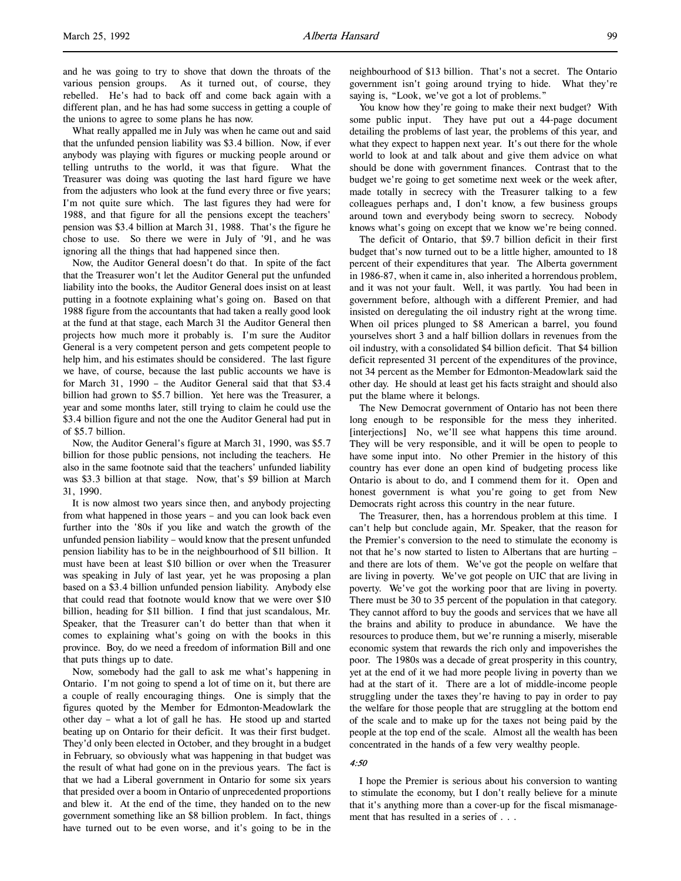and he was going to try to shove that down the throats of the various pension groups. As it turned out, of course, they rebelled. He's had to back off and come back again with a different plan, and he has had some success in getting a couple of the unions to agree to some plans he has now.

What really appalled me in July was when he came out and said that the unfunded pension liability was \$3.4 billion. Now, if ever anybody was playing with figures or mucking people around or telling untruths to the world, it was that figure. What the Treasurer was doing was quoting the last hard figure we have from the adjusters who look at the fund every three or five years; I'm not quite sure which. The last figures they had were for 1988, and that figure for all the pensions except the teachers' pension was \$3.4 billion at March 31, 1988. That's the figure he chose to use. So there we were in July of '91, and he was ignoring all the things that had happened since then.

Now, the Auditor General doesn't do that. In spite of the fact that the Treasurer won't let the Auditor General put the unfunded liability into the books, the Auditor General does insist on at least putting in a footnote explaining what's going on. Based on that 1988 figure from the accountants that had taken a really good look at the fund at that stage, each March 31 the Auditor General then projects how much more it probably is. I'm sure the Auditor General is a very competent person and gets competent people to help him, and his estimates should be considered. The last figure we have, of course, because the last public accounts we have is for March 31, 1990 – the Auditor General said that that \$3.4 billion had grown to \$5.7 billion. Yet here was the Treasurer, a year and some months later, still trying to claim he could use the \$3.4 billion figure and not the one the Auditor General had put in of \$5.7 billion.

Now, the Auditor General's figure at March 31, 1990, was \$5.7 billion for those public pensions, not including the teachers. He also in the same footnote said that the teachers' unfunded liability was \$3.3 billion at that stage. Now, that's \$9 billion at March 31, 1990.

It is now almost two years since then, and anybody projecting from what happened in those years – and you can look back even further into the '80s if you like and watch the growth of the unfunded pension liability – would know that the present unfunded pension liability has to be in the neighbourhood of \$11 billion. It must have been at least \$10 billion or over when the Treasurer was speaking in July of last year, yet he was proposing a plan based on a \$3.4 billion unfunded pension liability. Anybody else that could read that footnote would know that we were over \$10 billion, heading for \$11 billion. I find that just scandalous, Mr. Speaker, that the Treasurer can't do better than that when it comes to explaining what's going on with the books in this province. Boy, do we need a freedom of information Bill and one that puts things up to date.

Now, somebody had the gall to ask me what's happening in Ontario. I'm not going to spend a lot of time on it, but there are a couple of really encouraging things. One is simply that the figures quoted by the Member for Edmonton-Meadowlark the other day – what a lot of gall he has. He stood up and started beating up on Ontario for their deficit. It was their first budget. They'd only been elected in October, and they brought in a budget in February, so obviously what was happening in that budget was the result of what had gone on in the previous years. The fact is that we had a Liberal government in Ontario for some six years that presided over a boom in Ontario of unprecedented proportions and blew it. At the end of the time, they handed on to the new government something like an \$8 billion problem. In fact, things have turned out to be even worse, and it's going to be in the

neighbourhood of \$13 billion. That's not a secret. The Ontario government isn't going around trying to hide. What they're saying is, "Look, we've got a lot of problems."

You know how they're going to make their next budget? With some public input. They have put out a 44-page document detailing the problems of last year, the problems of this year, and what they expect to happen next year. It's out there for the whole world to look at and talk about and give them advice on what should be done with government finances. Contrast that to the budget we're going to get sometime next week or the week after, made totally in secrecy with the Treasurer talking to a few colleagues perhaps and, I don't know, a few business groups around town and everybody being sworn to secrecy. Nobody knows what's going on except that we know we're being conned.

The deficit of Ontario, that \$9.7 billion deficit in their first budget that's now turned out to be a little higher, amounted to 18 percent of their expenditures that year. The Alberta government in 1986-87, when it came in, also inherited a horrendous problem, and it was not your fault. Well, it was partly. You had been in government before, although with a different Premier, and had insisted on deregulating the oil industry right at the wrong time. When oil prices plunged to \$8 American a barrel, you found yourselves short 3 and a half billion dollars in revenues from the oil industry, with a consolidated \$4 billion deficit. That \$4 billion deficit represented 31 percent of the expenditures of the province, not 34 percent as the Member for Edmonton-Meadowlark said the other day. He should at least get his facts straight and should also put the blame where it belongs.

The New Democrat government of Ontario has not been there long enough to be responsible for the mess they inherited. [interjections] No, we'll see what happens this time around. They will be very responsible, and it will be open to people to have some input into. No other Premier in the history of this country has ever done an open kind of budgeting process like Ontario is about to do, and I commend them for it. Open and honest government is what you're going to get from New Democrats right across this country in the near future.

The Treasurer, then, has a horrendous problem at this time. I can't help but conclude again, Mr. Speaker, that the reason for the Premier's conversion to the need to stimulate the economy is not that he's now started to listen to Albertans that are hurting – and there are lots of them. We've got the people on welfare that are living in poverty. We've got people on UIC that are living in poverty. We've got the working poor that are living in poverty. There must be 30 to 35 percent of the population in that category. They cannot afford to buy the goods and services that we have all the brains and ability to produce in abundance. We have the resources to produce them, but we're running a miserly, miserable economic system that rewards the rich only and impoverishes the poor. The 1980s was a decade of great prosperity in this country, yet at the end of it we had more people living in poverty than we had at the start of it. There are a lot of middle-income people struggling under the taxes they're having to pay in order to pay the welfare for those people that are struggling at the bottom end of the scale and to make up for the taxes not being paid by the people at the top end of the scale. Almost all the wealth has been concentrated in the hands of a few very wealthy people.

## 4:50

I hope the Premier is serious about his conversion to wanting to stimulate the economy, but I don't really believe for a minute that it's anything more than a cover-up for the fiscal mismanagement that has resulted in a series of . . .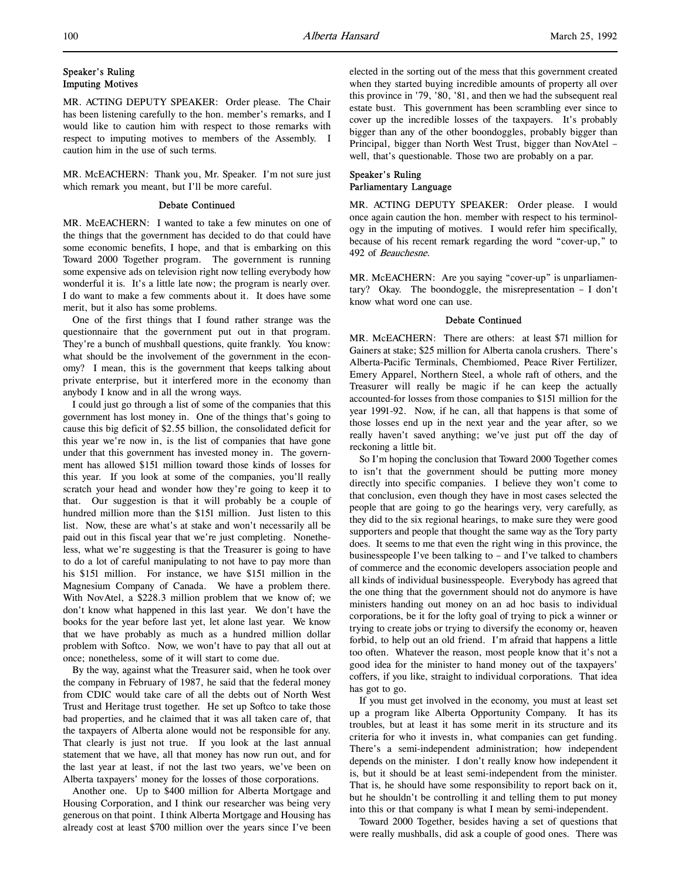# Speaker's Ruling Imputing Motives

MR. ACTING DEPUTY SPEAKER: Order please. The Chair has been listening carefully to the hon. member's remarks, and I would like to caution him with respect to those remarks with respect to imputing motives to members of the Assembly. I caution him in the use of such terms.

MR. McEACHERN: Thank you, Mr. Speaker. I'm not sure just which remark you meant, but I'll be more careful.

## Debate Continued

MR. McEACHERN: I wanted to take a few minutes on one of the things that the government has decided to do that could have some economic benefits, I hope, and that is embarking on this Toward 2000 Together program. The government is running some expensive ads on television right now telling everybody how wonderful it is. It's a little late now; the program is nearly over. I do want to make a few comments about it. It does have some merit, but it also has some problems.

One of the first things that I found rather strange was the questionnaire that the government put out in that program. They're a bunch of mushball questions, quite frankly. You know: what should be the involvement of the government in the economy? I mean, this is the government that keeps talking about private enterprise, but it interfered more in the economy than anybody I know and in all the wrong ways.

I could just go through a list of some of the companies that this government has lost money in. One of the things that's going to cause this big deficit of \$2.55 billion, the consolidated deficit for this year we're now in, is the list of companies that have gone under that this government has invested money in. The government has allowed \$151 million toward those kinds of losses for this year. If you look at some of the companies, you'll really scratch your head and wonder how they're going to keep it to that. Our suggestion is that it will probably be a couple of hundred million more than the \$151 million. Just listen to this list. Now, these are what's at stake and won't necessarily all be paid out in this fiscal year that we're just completing. Nonetheless, what we're suggesting is that the Treasurer is going to have to do a lot of careful manipulating to not have to pay more than his \$151 million. For instance, we have \$151 million in the Magnesium Company of Canada. We have a problem there. With NovAtel, a \$228.3 million problem that we know of; we don't know what happened in this last year. We don't have the books for the year before last yet, let alone last year. We know that we have probably as much as a hundred million dollar problem with Softco. Now, we won't have to pay that all out at once; nonetheless, some of it will start to come due.

By the way, against what the Treasurer said, when he took over the company in February of 1987, he said that the federal money from CDIC would take care of all the debts out of North West Trust and Heritage trust together. He set up Softco to take those bad properties, and he claimed that it was all taken care of, that the taxpayers of Alberta alone would not be responsible for any. That clearly is just not true. If you look at the last annual statement that we have, all that money has now run out, and for the last year at least, if not the last two years, we've been on Alberta taxpayers' money for the losses of those corporations.

Another one. Up to \$400 million for Alberta Mortgage and Housing Corporation, and I think our researcher was being very generous on that point. I think Alberta Mortgage and Housing has already cost at least \$700 million over the years since I've been

elected in the sorting out of the mess that this government created when they started buying incredible amounts of property all over this province in '79, '80, '81, and then we had the subsequent real estate bust. This government has been scrambling ever since to cover up the incredible losses of the taxpayers. It's probably bigger than any of the other boondoggles, probably bigger than Principal, bigger than North West Trust, bigger than NovAtel – well, that's questionable. Those two are probably on a par.

# Speaker's Ruling Parliamentary Language

MR. ACTING DEPUTY SPEAKER: Order please. I would once again caution the hon. member with respect to his terminology in the imputing of motives. I would refer him specifically, because of his recent remark regarding the word "cover-up," to 492 of Beauchesne.

MR. McEACHERN: Are you saying "cover-up" is unparliamentary? Okay. The boondoggle, the misrepresentation – I don't know what word one can use.

## Debate Continued

MR. McEACHERN: There are others: at least \$71 million for Gainers at stake; \$25 million for Alberta canola crushers. There's Alberta-Pacific Terminals, Chembiomed, Peace River Fertilizer, Emery Apparel, Northern Steel, a whole raft of others, and the Treasurer will really be magic if he can keep the actually accounted-for losses from those companies to \$151 million for the year 1991-92. Now, if he can, all that happens is that some of those losses end up in the next year and the year after, so we really haven't saved anything; we've just put off the day of reckoning a little bit.

So I'm hoping the conclusion that Toward 2000 Together comes to isn't that the government should be putting more money directly into specific companies. I believe they won't come to that conclusion, even though they have in most cases selected the people that are going to go the hearings very, very carefully, as they did to the six regional hearings, to make sure they were good supporters and people that thought the same way as the Tory party does. It seems to me that even the right wing in this province, the businesspeople I've been talking to – and I've talked to chambers of commerce and the economic developers association people and all kinds of individual businesspeople. Everybody has agreed that the one thing that the government should not do anymore is have ministers handing out money on an ad hoc basis to individual corporations, be it for the lofty goal of trying to pick a winner or trying to create jobs or trying to diversify the economy or, heaven forbid, to help out an old friend. I'm afraid that happens a little too often. Whatever the reason, most people know that it's not a good idea for the minister to hand money out of the taxpayers' coffers, if you like, straight to individual corporations. That idea has got to go.

If you must get involved in the economy, you must at least set up a program like Alberta Opportunity Company. It has its troubles, but at least it has some merit in its structure and its criteria for who it invests in, what companies can get funding. There's a semi-independent administration; how independent depends on the minister. I don't really know how independent it is, but it should be at least semi-independent from the minister. That is, he should have some responsibility to report back on it, but he shouldn't be controlling it and telling them to put money into this or that company is what I mean by semi-independent.

Toward 2000 Together, besides having a set of questions that were really mushballs, did ask a couple of good ones. There was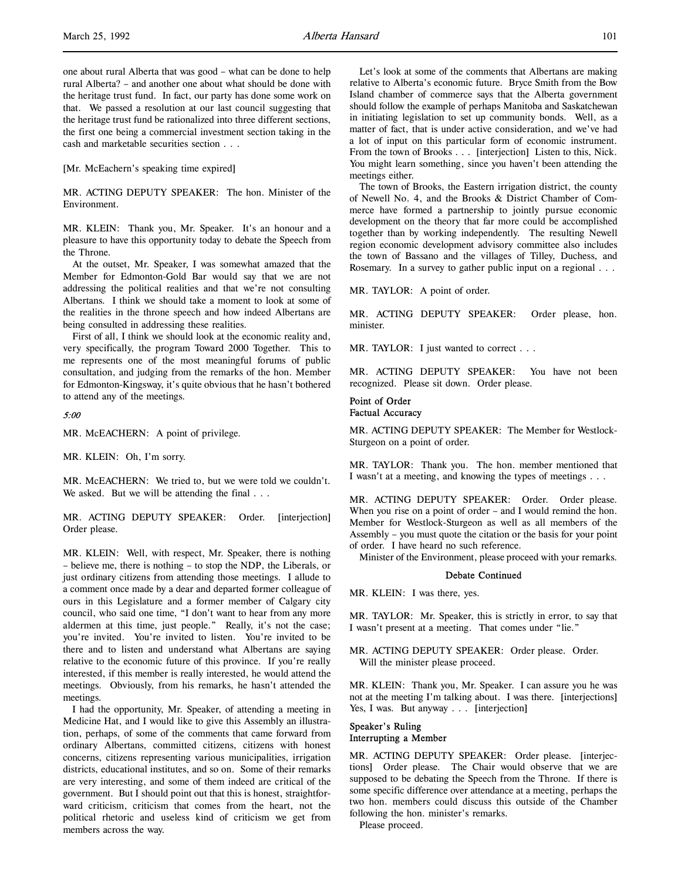one about rural Alberta that was good – what can be done to help rural Alberta? – and another one about what should be done with the heritage trust fund. In fact, our party has done some work on that. We passed a resolution at our last council suggesting that the heritage trust fund be rationalized into three different sections, the first one being a commercial investment section taking in the cash and marketable securities section . . .

[Mr. McEachern's speaking time expired]

MR. ACTING DEPUTY SPEAKER: The hon. Minister of the Environment.

MR. KLEIN: Thank you, Mr. Speaker. It's an honour and a pleasure to have this opportunity today to debate the Speech from the Throne.

At the outset, Mr. Speaker, I was somewhat amazed that the Member for Edmonton-Gold Bar would say that we are not addressing the political realities and that we're not consulting Albertans. I think we should take a moment to look at some of the realities in the throne speech and how indeed Albertans are being consulted in addressing these realities.

First of all, I think we should look at the economic reality and, very specifically, the program Toward 2000 Together. This to me represents one of the most meaningful forums of public consultation, and judging from the remarks of the hon. Member for Edmonton-Kingsway, it's quite obvious that he hasn't bothered to attend any of the meetings.

## 5:00

MR. McEACHERN: A point of privilege.

MR. KLEIN: Oh, I'm sorry.

MR. McEACHERN: We tried to, but we were told we couldn't. We asked. But we will be attending the final ...

MR. ACTING DEPUTY SPEAKER: Order. [interjection] Order please.

MR. KLEIN: Well, with respect, Mr. Speaker, there is nothing – believe me, there is nothing – to stop the NDP, the Liberals, or just ordinary citizens from attending those meetings. I allude to a comment once made by a dear and departed former colleague of ours in this Legislature and a former member of Calgary city council, who said one time, "I don't want to hear from any more aldermen at this time, just people." Really, it's not the case; you're invited. You're invited to listen. You're invited to be there and to listen and understand what Albertans are saying relative to the economic future of this province. If you're really interested, if this member is really interested, he would attend the meetings. Obviously, from his remarks, he hasn't attended the meetings.

I had the opportunity, Mr. Speaker, of attending a meeting in Medicine Hat, and I would like to give this Assembly an illustration, perhaps, of some of the comments that came forward from ordinary Albertans, committed citizens, citizens with honest concerns, citizens representing various municipalities, irrigation districts, educational institutes, and so on. Some of their remarks are very interesting, and some of them indeed are critical of the government. But I should point out that this is honest, straightforward criticism, criticism that comes from the heart, not the political rhetoric and useless kind of criticism we get from members across the way.

Let's look at some of the comments that Albertans are making relative to Alberta's economic future. Bryce Smith from the Bow Island chamber of commerce says that the Alberta government should follow the example of perhaps Manitoba and Saskatchewan in initiating legislation to set up community bonds. Well, as a matter of fact, that is under active consideration, and we've had a lot of input on this particular form of economic instrument. From the town of Brooks . . . [interjection] Listen to this, Nick. You might learn something, since you haven't been attending the meetings either.

The town of Brooks, the Eastern irrigation district, the county of Newell No. 4, and the Brooks & District Chamber of Commerce have formed a partnership to jointly pursue economic development on the theory that far more could be accomplished together than by working independently. The resulting Newell region economic development advisory committee also includes the town of Bassano and the villages of Tilley, Duchess, and Rosemary. In a survey to gather public input on a regional . . .

MR. TAYLOR: A point of order.

MR. ACTING DEPUTY SPEAKER: Order please, hon. minister.

MR. TAYLOR: I just wanted to correct . . .

MR. ACTING DEPUTY SPEAKER: You have not been recognized. Please sit down. Order please.

## Point of Order Factual Accuracy

MR. ACTING DEPUTY SPEAKER: The Member for Westlock-Sturgeon on a point of order.

MR. TAYLOR: Thank you. The hon. member mentioned that I wasn't at a meeting, and knowing the types of meetings . . .

MR. ACTING DEPUTY SPEAKER: Order. Order please. When you rise on a point of order – and I would remind the hon. Member for Westlock-Sturgeon as well as all members of the Assembly – you must quote the citation or the basis for your point of order. I have heard no such reference.

Minister of the Environment, please proceed with your remarks.

#### Debate Continued

MR. KLEIN: I was there, yes.

MR. TAYLOR: Mr. Speaker, this is strictly in error, to say that I wasn't present at a meeting. That comes under "lie."

MR. ACTING DEPUTY SPEAKER: Order please. Order. Will the minister please proceed.

MR. KLEIN: Thank you, Mr. Speaker. I can assure you he was not at the meeting I'm talking about. I was there. [interjections] Yes, I was. But anyway . . . [interjection]

## Speaker's Ruling Interrupting a Member

MR. ACTING DEPUTY SPEAKER: Order please. [interjections] Order please. The Chair would observe that we are supposed to be debating the Speech from the Throne. If there is some specific difference over attendance at a meeting, perhaps the two hon. members could discuss this outside of the Chamber following the hon. minister's remarks.

Please proceed.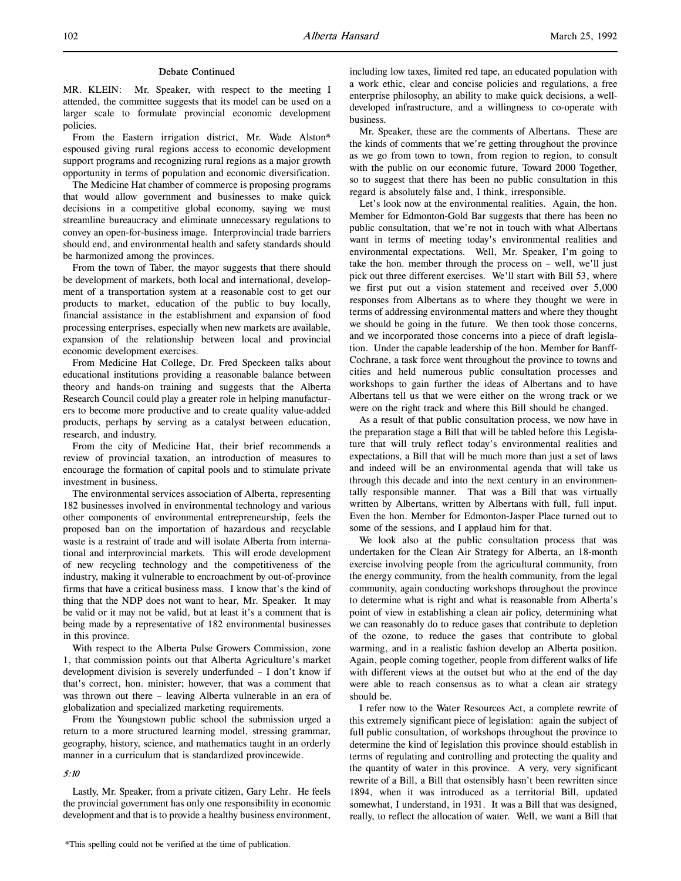## Debate Continued

MR. KLEIN: Mr. Speaker, with respect to the meeting I attended, the committee suggests that its model can be used on a larger scale to formulate provincial economic development policies.

From the Eastern irrigation district, Mr. Wade Alston\* espoused giving rural regions access to economic development support programs and recognizing rural regions as a major growth opportunity in terms of population and economic diversification.

The Medicine Hat chamber of commerce is proposing programs that would allow government and businesses to make quick decisions in a competitive global economy, saying we must streamline bureaucracy and eliminate unnecessary regulations to convey an open-for-business image. Interprovincial trade barriers should end, and environmental health and safety standards should be harmonized among the provinces.

From the town of Taber, the mayor suggests that there should be development of markets, both local and international, development of a transportation system at a reasonable cost to get our products to market, education of the public to buy locally, financial assistance in the establishment and expansion of food processing enterprises, especially when new markets are available, expansion of the relationship between local and provincial economic development exercises.

From Medicine Hat College, Dr. Fred Speckeen talks about educational institutions providing a reasonable balance between theory and hands-on training and suggests that the Alberta Research Council could play a greater role in helping manufacturers to become more productive and to create quality value-added products, perhaps by serving as a catalyst between education, research, and industry.

From the city of Medicine Hat, their brief recommends a review of provincial taxation, an introduction of measures to encourage the formation of capital pools and to stimulate private investment in business.

The environmental services association of Alberta, representing 182 businesses involved in environmental technology and various other components of environmental entrepreneurship, feels the proposed ban on the importation of hazardous and recyclable waste is a restraint of trade and will isolate Alberta from international and interprovincial markets. This will erode development of new recycling technology and the competitiveness of the industry, making it vulnerable to encroachment by out-of-province firms that have a critical business mass. I know that's the kind of thing that the NDP does not want to hear, Mr. Speaker. It may be valid or it may not be valid, but at least it's a comment that is being made by a representative of 182 environmental businesses in this province.

With respect to the Alberta Pulse Growers Commission, zone 1, that commission points out that Alberta Agriculture's market development division is severely underfunded – I don't know if that's correct, hon. minister; however, that was a comment that was thrown out there – leaving Alberta vulnerable in an era of globalization and specialized marketing requirements.

From the Youngstown public school the submission urged a return to a more structured learning model, stressing grammar, geography, history, science, and mathematics taught in an orderly manner in a curriculum that is standardized provincewide.

#### 5:10

Lastly, Mr. Speaker, from a private citizen, Gary Lehr. He feels the provincial government has only one responsibility in economic development and that is to provide a healthy business environment, including low taxes, limited red tape, an educated population with a work ethic, clear and concise policies and regulations, a free enterprise philosophy, an ability to make quick decisions, a welldeveloped infrastructure, and a willingness to co-operate with business.

Mr. Speaker, these are the comments of Albertans. These are the kinds of comments that we're getting throughout the province as we go from town to town, from region to region, to consult with the public on our economic future, Toward 2000 Together, so to suggest that there has been no public consultation in this regard is absolutely false and, I think, irresponsible.

Let's look now at the environmental realities. Again, the hon. Member for Edmonton-Gold Bar suggests that there has been no public consultation, that we're not in touch with what Albertans want in terms of meeting today's environmental realities and environmental expectations. Well, Mr. Speaker, I'm going to take the hon. member through the process on – well, we'll just pick out three different exercises. We'll start with Bill 53, where we first put out a vision statement and received over 5,000 responses from Albertans as to where they thought we were in terms of addressing environmental matters and where they thought we should be going in the future. We then took those concerns, and we incorporated those concerns into a piece of draft legislation. Under the capable leadership of the hon. Member for Banff-Cochrane, a task force went throughout the province to towns and cities and held numerous public consultation processes and workshops to gain further the ideas of Albertans and to have Albertans tell us that we were either on the wrong track or we were on the right track and where this Bill should be changed.

As a result of that public consultation process, we now have in the preparation stage a Bill that will be tabled before this Legislature that will truly reflect today's environmental realities and expectations, a Bill that will be much more than just a set of laws and indeed will be an environmental agenda that will take us through this decade and into the next century in an environmentally responsible manner. That was a Bill that was virtually written by Albertans, written by Albertans with full, full input. Even the hon. Member for Edmonton-Jasper Place turned out to some of the sessions, and I applaud him for that.

We look also at the public consultation process that was undertaken for the Clean Air Strategy for Alberta, an 18-month exercise involving people from the agricultural community, from the energy community, from the health community, from the legal community, again conducting workshops throughout the province to determine what is right and what is reasonable from Alberta's point of view in establishing a clean air policy, determining what we can reasonably do to reduce gases that contribute to depletion of the ozone, to reduce the gases that contribute to global warming, and in a realistic fashion develop an Alberta position. Again, people coming together, people from different walks of life with different views at the outset but who at the end of the day were able to reach consensus as to what a clean air strategy should be.

I refer now to the Water Resources Act, a complete rewrite of this extremely significant piece of legislation: again the subject of full public consultation, of workshops throughout the province to determine the kind of legislation this province should establish in terms of regulating and controlling and protecting the quality and the quantity of water in this province. A very, very significant rewrite of a Bill, a Bill that ostensibly hasn't been rewritten since 1894, when it was introduced as a territorial Bill, updated somewhat, I understand, in 1931. It was a Bill that was designed, really, to reflect the allocation of water. Well, we want a Bill that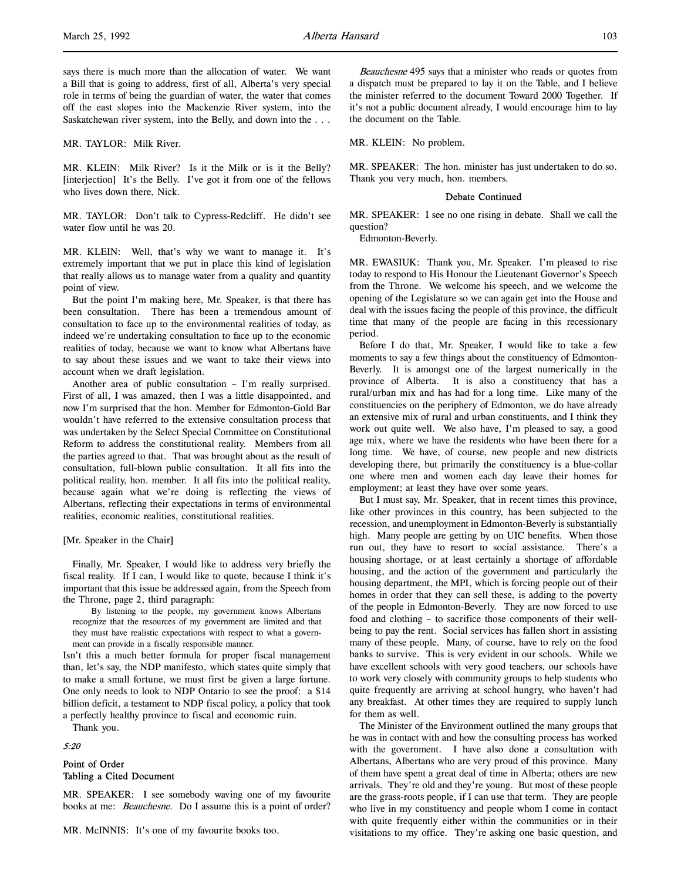says there is much more than the allocation of water. We want a Bill that is going to address, first of all, Alberta's very special role in terms of being the guardian of water, the water that comes off the east slopes into the Mackenzie River system, into the Saskatchewan river system, into the Belly, and down into the . . .

MR. TAYLOR: Milk River.

MR. KLEIN: Milk River? Is it the Milk or is it the Belly? [interjection] It's the Belly. I've got it from one of the fellows who lives down there, Nick.

MR. TAYLOR: Don't talk to Cypress-Redcliff. He didn't see water flow until he was 20.

MR. KLEIN: Well, that's why we want to manage it. It's extremely important that we put in place this kind of legislation that really allows us to manage water from a quality and quantity point of view.

But the point I'm making here, Mr. Speaker, is that there has been consultation. There has been a tremendous amount of consultation to face up to the environmental realities of today, as indeed we're undertaking consultation to face up to the economic realities of today, because we want to know what Albertans have to say about these issues and we want to take their views into account when we draft legislation.

Another area of public consultation – I'm really surprised. First of all, I was amazed, then I was a little disappointed, and now I'm surprised that the hon. Member for Edmonton-Gold Bar wouldn't have referred to the extensive consultation process that was undertaken by the Select Special Committee on Constitutional Reform to address the constitutional reality. Members from all the parties agreed to that. That was brought about as the result of consultation, full-blown public consultation. It all fits into the political reality, hon. member. It all fits into the political reality, because again what we're doing is reflecting the views of Albertans, reflecting their expectations in terms of environmental realities, economic realities, constitutional realities.

[Mr. Speaker in the Chair]

Finally, Mr. Speaker, I would like to address very briefly the fiscal reality. If I can, I would like to quote, because I think it's important that this issue be addressed again, from the Speech from the Throne, page 2, third paragraph:

By listening to the people, my government knows Albertans recognize that the resources of my government are limited and that they must have realistic expectations with respect to what a government can provide in a fiscally responsible manner.

Isn't this a much better formula for proper fiscal management than, let's say, the NDP manifesto, which states quite simply that to make a small fortune, we must first be given a large fortune. One only needs to look to NDP Ontario to see the proof: a \$14 billion deficit, a testament to NDP fiscal policy, a policy that took a perfectly healthy province to fiscal and economic ruin.

Thank you.

# 5:20

# Point of Order Tabling a Cited Document

MR. SPEAKER: I see somebody waving one of my favourite books at me: *Beauchesne*. Do I assume this is a point of order?

Beauchesne 495 says that a minister who reads or quotes from a dispatch must be prepared to lay it on the Table, and I believe the minister referred to the document Toward 2000 Together. If it's not a public document already, I would encourage him to lay the document on the Table.

MR. KLEIN: No problem.

MR. SPEAKER: The hon. minister has just undertaken to do so. Thank you very much, hon. members.

#### Debate Continued

MR. SPEAKER: I see no one rising in debate. Shall we call the question?

Edmonton-Beverly.

MR. EWASIUK: Thank you, Mr. Speaker. I'm pleased to rise today to respond to His Honour the Lieutenant Governor's Speech from the Throne. We welcome his speech, and we welcome the opening of the Legislature so we can again get into the House and deal with the issues facing the people of this province, the difficult time that many of the people are facing in this recessionary period.

Before I do that, Mr. Speaker, I would like to take a few moments to say a few things about the constituency of Edmonton-Beverly. It is amongst one of the largest numerically in the province of Alberta. It is also a constituency that has a rural/urban mix and has had for a long time. Like many of the constituencies on the periphery of Edmonton, we do have already an extensive mix of rural and urban constituents, and I think they work out quite well. We also have, I'm pleased to say, a good age mix, where we have the residents who have been there for a long time. We have, of course, new people and new districts developing there, but primarily the constituency is a blue-collar one where men and women each day leave their homes for employment; at least they have over some years.

But I must say, Mr. Speaker, that in recent times this province, like other provinces in this country, has been subjected to the recession, and unemployment in Edmonton-Beverly is substantially high. Many people are getting by on UIC benefits. When those run out, they have to resort to social assistance. There's a housing shortage, or at least certainly a shortage of affordable housing, and the action of the government and particularly the housing department, the MPI, which is forcing people out of their homes in order that they can sell these, is adding to the poverty of the people in Edmonton-Beverly. They are now forced to use food and clothing – to sacrifice those components of their wellbeing to pay the rent. Social services has fallen short in assisting many of these people. Many, of course, have to rely on the food banks to survive. This is very evident in our schools. While we have excellent schools with very good teachers, our schools have to work very closely with community groups to help students who quite frequently are arriving at school hungry, who haven't had any breakfast. At other times they are required to supply lunch for them as well.

The Minister of the Environment outlined the many groups that he was in contact with and how the consulting process has worked with the government. I have also done a consultation with Albertans, Albertans who are very proud of this province. Many of them have spent a great deal of time in Alberta; others are new arrivals. They're old and they're young. But most of these people are the grass-roots people, if I can use that term. They are people who live in my constituency and people whom I come in contact with quite frequently either within the communities or in their visitations to my office. They're asking one basic question, and